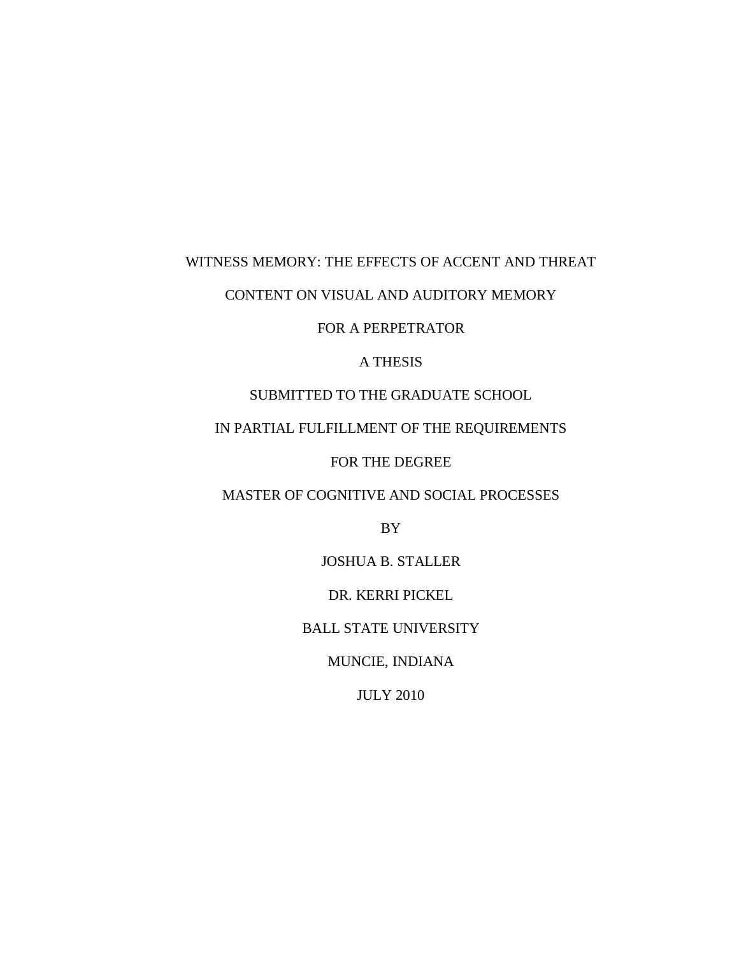## WITNESS MEMORY: THE EFFECTS OF ACCENT AND THREAT

## CONTENT ON VISUAL AND AUDITORY MEMORY

## FOR A PERPETRATOR

## A THESIS

## SUBMITTED TO THE GRADUATE SCHOOL

## IN PARTIAL FULFILLMENT OF THE REQUIREMENTS

## FOR THE DEGREE

## MASTER OF COGNITIVE AND SOCIAL PROCESSES

BY

JOSHUA B. STALLER

DR. KERRI PICKEL

#### BALL STATE UNIVERSITY

MUNCIE, INDIANA

JULY 2010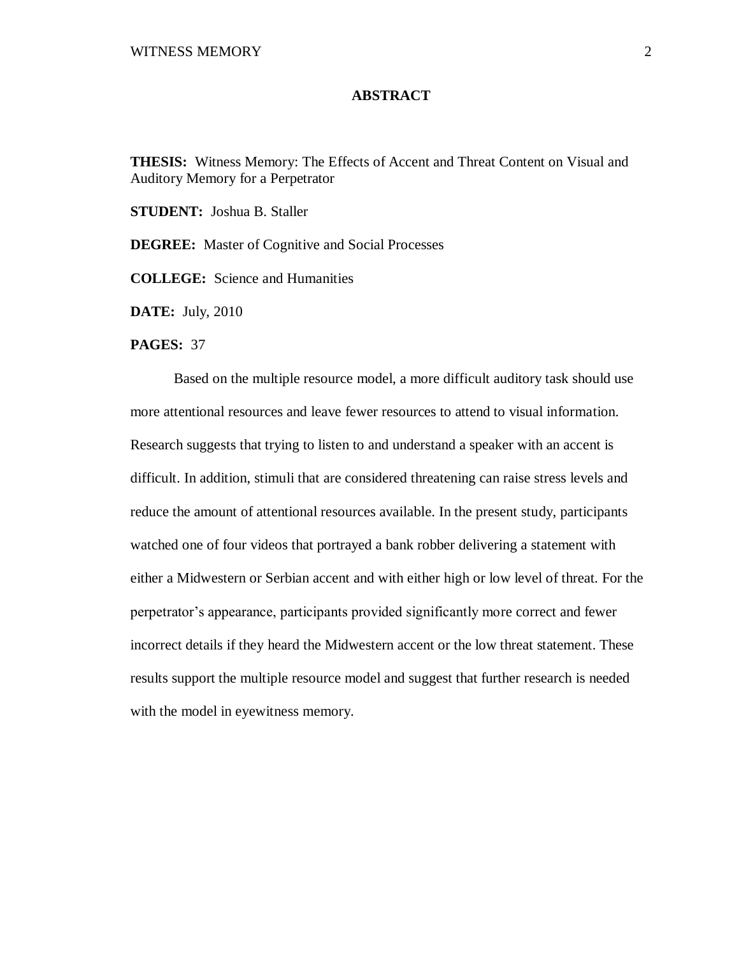#### **ABSTRACT**

**THESIS:** Witness Memory: The Effects of Accent and Threat Content on Visual and Auditory Memory for a Perpetrator

**STUDENT:** Joshua B. Staller

**DEGREE:** Master of Cognitive and Social Processes

**COLLEGE:** Science and Humanities

**DATE:** July, 2010

#### **PAGES:** 37

Based on the multiple resource model, a more difficult auditory task should use more attentional resources and leave fewer resources to attend to visual information. Research suggests that trying to listen to and understand a speaker with an accent is difficult. In addition, stimuli that are considered threatening can raise stress levels and reduce the amount of attentional resources available. In the present study, participants watched one of four videos that portrayed a bank robber delivering a statement with either a Midwestern or Serbian accent and with either high or low level of threat. For the perpetrator's appearance, participants provided significantly more correct and fewer incorrect details if they heard the Midwestern accent or the low threat statement. These results support the multiple resource model and suggest that further research is needed with the model in eyewitness memory.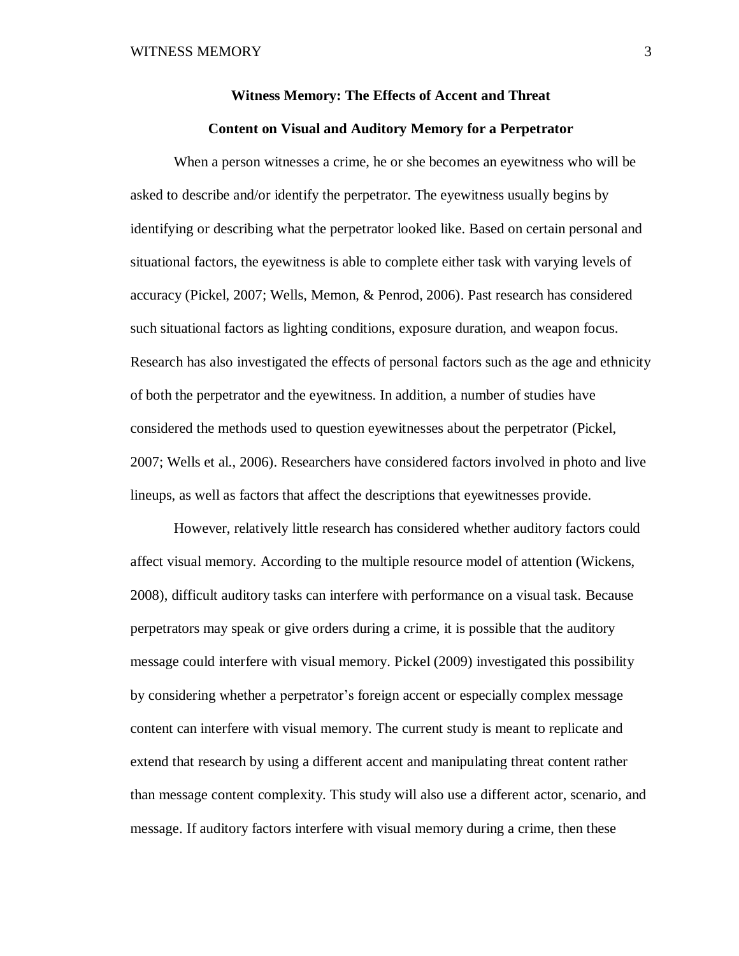## **Witness Memory: The Effects of Accent and Threat**

#### **Content on Visual and Auditory Memory for a Perpetrator**

When a person witnesses a crime, he or she becomes an eyewitness who will be asked to describe and/or identify the perpetrator. The eyewitness usually begins by identifying or describing what the perpetrator looked like. Based on certain personal and situational factors, the eyewitness is able to complete either task with varying levels of accuracy (Pickel, 2007; Wells, Memon, & Penrod, 2006). Past research has considered such situational factors as lighting conditions, exposure duration, and weapon focus. Research has also investigated the effects of personal factors such as the age and ethnicity of both the perpetrator and the eyewitness. In addition, a number of studies have considered the methods used to question eyewitnesses about the perpetrator (Pickel, 2007; Wells et al., 2006). Researchers have considered factors involved in photo and live lineups, as well as factors that affect the descriptions that eyewitnesses provide.

However, relatively little research has considered whether auditory factors could affect visual memory. According to the multiple resource model of attention (Wickens, 2008), difficult auditory tasks can interfere with performance on a visual task. Because perpetrators may speak or give orders during a crime, it is possible that the auditory message could interfere with visual memory. Pickel (2009) investigated this possibility by considering whether a perpetrator's foreign accent or especially complex message content can interfere with visual memory. The current study is meant to replicate and extend that research by using a different accent and manipulating threat content rather than message content complexity. This study will also use a different actor, scenario, and message. If auditory factors interfere with visual memory during a crime, then these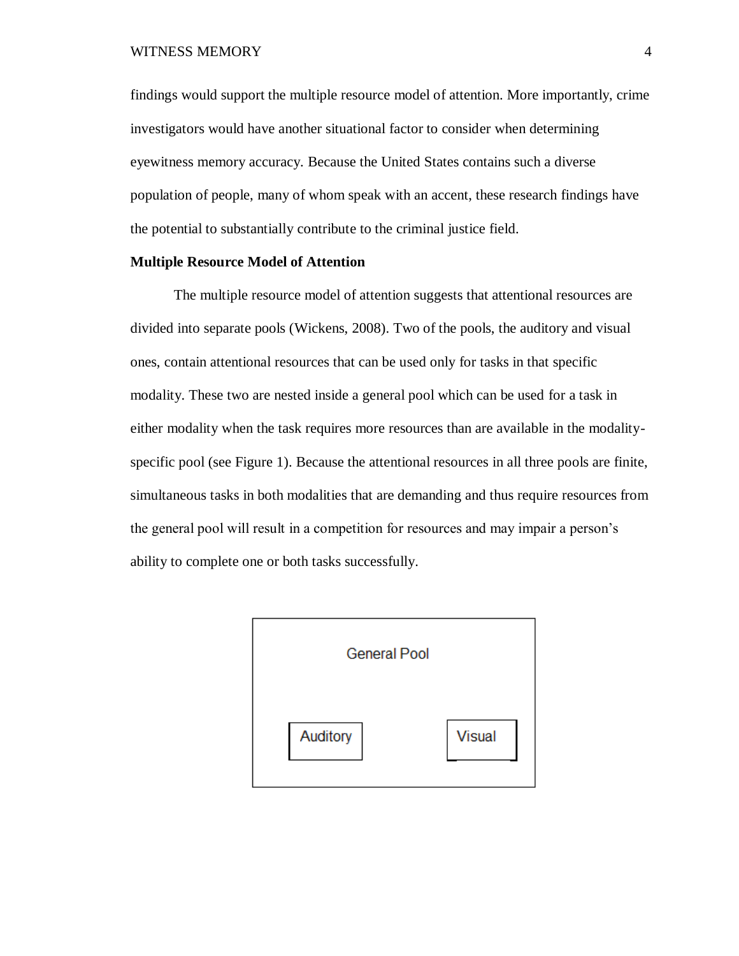findings would support the multiple resource model of attention. More importantly, crime investigators would have another situational factor to consider when determining eyewitness memory accuracy. Because the United States contains such a diverse population of people, many of whom speak with an accent, these research findings have the potential to substantially contribute to the criminal justice field.

#### **Multiple Resource Model of Attention**

The multiple resource model of attention suggests that attentional resources are divided into separate pools (Wickens, 2008). Two of the pools, the auditory and visual ones, contain attentional resources that can be used only for tasks in that specific modality. These two are nested inside a general pool which can be used for a task in either modality when the task requires more resources than are available in the modalityspecific pool (see Figure 1). Because the attentional resources in all three pools are finite, simultaneous tasks in both modalities that are demanding and thus require resources from the general pool will result in a competition for resources and may impair a person's ability to complete one or both tasks successfully.

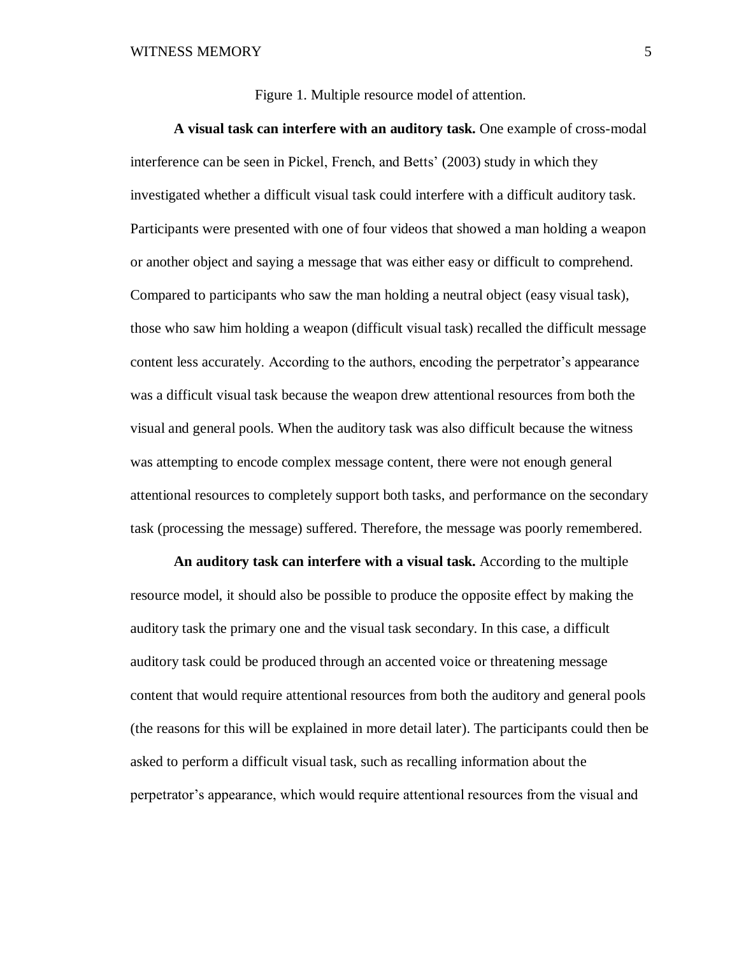Figure 1. Multiple resource model of attention.

**A visual task can interfere with an auditory task.** One example of cross-modal interference can be seen in Pickel, French, and Betts' (2003) study in which they investigated whether a difficult visual task could interfere with a difficult auditory task. Participants were presented with one of four videos that showed a man holding a weapon or another object and saying a message that was either easy or difficult to comprehend. Compared to participants who saw the man holding a neutral object (easy visual task), those who saw him holding a weapon (difficult visual task) recalled the difficult message content less accurately. According to the authors, encoding the perpetrator's appearance was a difficult visual task because the weapon drew attentional resources from both the visual and general pools. When the auditory task was also difficult because the witness was attempting to encode complex message content, there were not enough general attentional resources to completely support both tasks, and performance on the secondary task (processing the message) suffered. Therefore, the message was poorly remembered.

**An auditory task can interfere with a visual task.** According to the multiple resource model, it should also be possible to produce the opposite effect by making the auditory task the primary one and the visual task secondary. In this case, a difficult auditory task could be produced through an accented voice or threatening message content that would require attentional resources from both the auditory and general pools (the reasons for this will be explained in more detail later). The participants could then be asked to perform a difficult visual task, such as recalling information about the perpetrator's appearance, which would require attentional resources from the visual and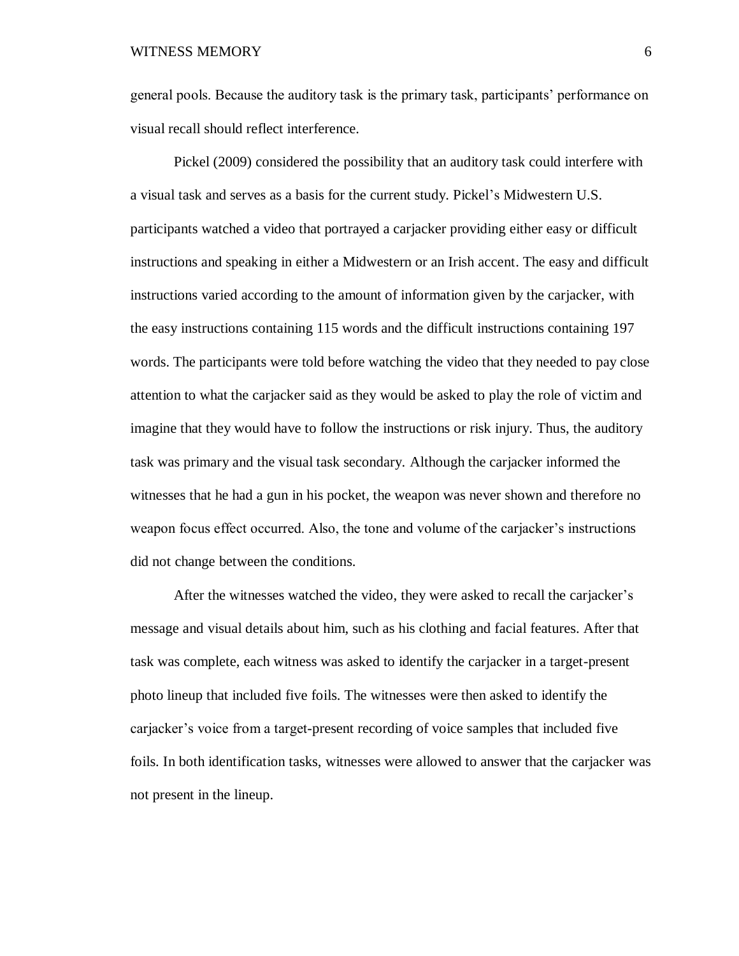general pools. Because the auditory task is the primary task, participants' performance on visual recall should reflect interference.

Pickel (2009) considered the possibility that an auditory task could interfere with a visual task and serves as a basis for the current study. Pickel's Midwestern U.S. participants watched a video that portrayed a carjacker providing either easy or difficult instructions and speaking in either a Midwestern or an Irish accent. The easy and difficult instructions varied according to the amount of information given by the carjacker, with the easy instructions containing 115 words and the difficult instructions containing 197 words. The participants were told before watching the video that they needed to pay close attention to what the carjacker said as they would be asked to play the role of victim and imagine that they would have to follow the instructions or risk injury. Thus, the auditory task was primary and the visual task secondary. Although the carjacker informed the witnesses that he had a gun in his pocket, the weapon was never shown and therefore no weapon focus effect occurred. Also, the tone and volume of the carjacker's instructions did not change between the conditions.

After the witnesses watched the video, they were asked to recall the carjacker's message and visual details about him, such as his clothing and facial features. After that task was complete, each witness was asked to identify the carjacker in a target-present photo lineup that included five foils. The witnesses were then asked to identify the carjacker's voice from a target-present recording of voice samples that included five foils. In both identification tasks, witnesses were allowed to answer that the carjacker was not present in the lineup.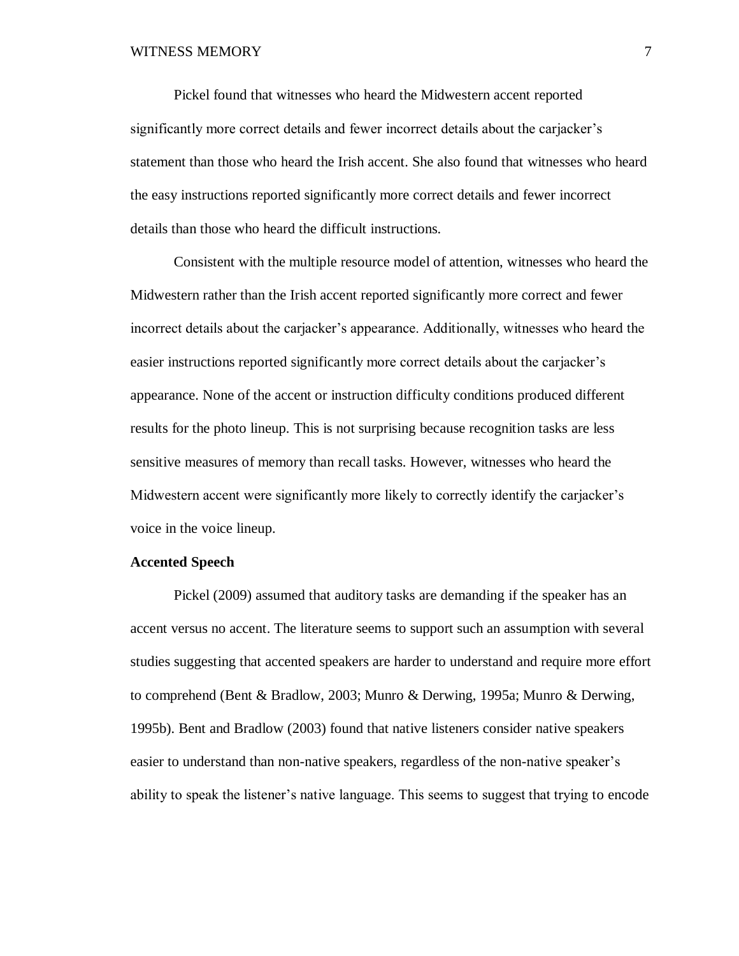Pickel found that witnesses who heard the Midwestern accent reported significantly more correct details and fewer incorrect details about the carjacker's statement than those who heard the Irish accent. She also found that witnesses who heard the easy instructions reported significantly more correct details and fewer incorrect details than those who heard the difficult instructions.

Consistent with the multiple resource model of attention, witnesses who heard the Midwestern rather than the Irish accent reported significantly more correct and fewer incorrect details about the carjacker's appearance. Additionally, witnesses who heard the easier instructions reported significantly more correct details about the carjacker's appearance. None of the accent or instruction difficulty conditions produced different results for the photo lineup. This is not surprising because recognition tasks are less sensitive measures of memory than recall tasks. However, witnesses who heard the Midwestern accent were significantly more likely to correctly identify the carjacker's voice in the voice lineup.

#### **Accented Speech**

Pickel (2009) assumed that auditory tasks are demanding if the speaker has an accent versus no accent. The literature seems to support such an assumption with several studies suggesting that accented speakers are harder to understand and require more effort to comprehend (Bent & Bradlow, 2003; Munro & Derwing, 1995a; Munro & Derwing, 1995b). Bent and Bradlow (2003) found that native listeners consider native speakers easier to understand than non-native speakers, regardless of the non-native speaker's ability to speak the listener's native language. This seems to suggest that trying to encode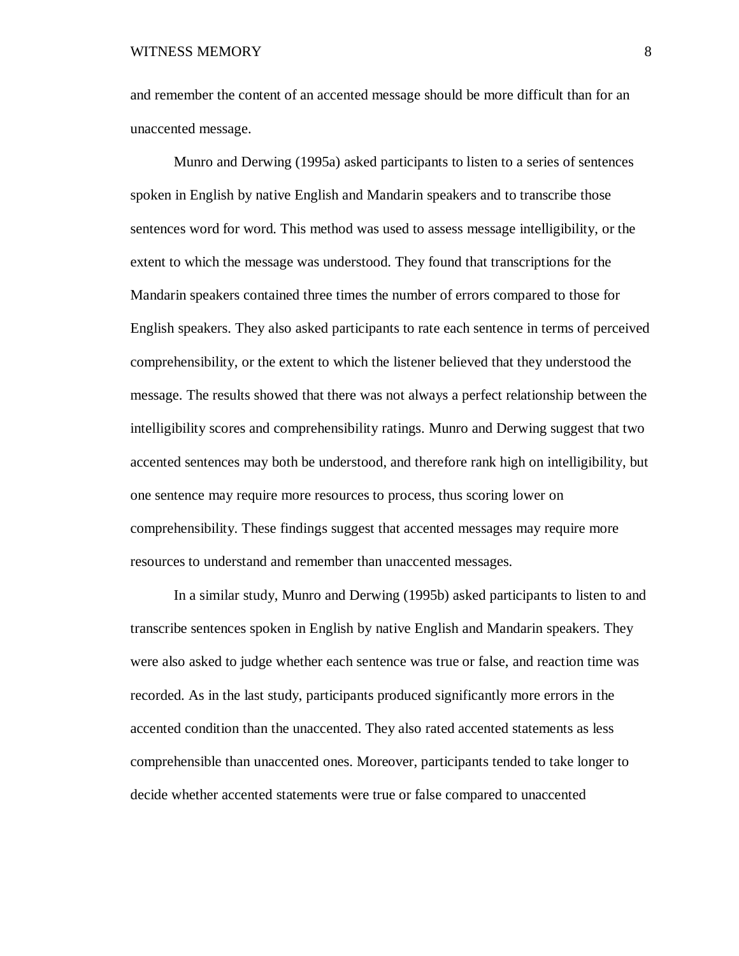and remember the content of an accented message should be more difficult than for an unaccented message.

Munro and Derwing (1995a) asked participants to listen to a series of sentences spoken in English by native English and Mandarin speakers and to transcribe those sentences word for word. This method was used to assess message intelligibility, or the extent to which the message was understood. They found that transcriptions for the Mandarin speakers contained three times the number of errors compared to those for English speakers. They also asked participants to rate each sentence in terms of perceived comprehensibility, or the extent to which the listener believed that they understood the message. The results showed that there was not always a perfect relationship between the intelligibility scores and comprehensibility ratings. Munro and Derwing suggest that two accented sentences may both be understood, and therefore rank high on intelligibility, but one sentence may require more resources to process, thus scoring lower on comprehensibility. These findings suggest that accented messages may require more resources to understand and remember than unaccented messages.

In a similar study, Munro and Derwing (1995b) asked participants to listen to and transcribe sentences spoken in English by native English and Mandarin speakers. They were also asked to judge whether each sentence was true or false, and reaction time was recorded. As in the last study, participants produced significantly more errors in the accented condition than the unaccented. They also rated accented statements as less comprehensible than unaccented ones. Moreover, participants tended to take longer to decide whether accented statements were true or false compared to unaccented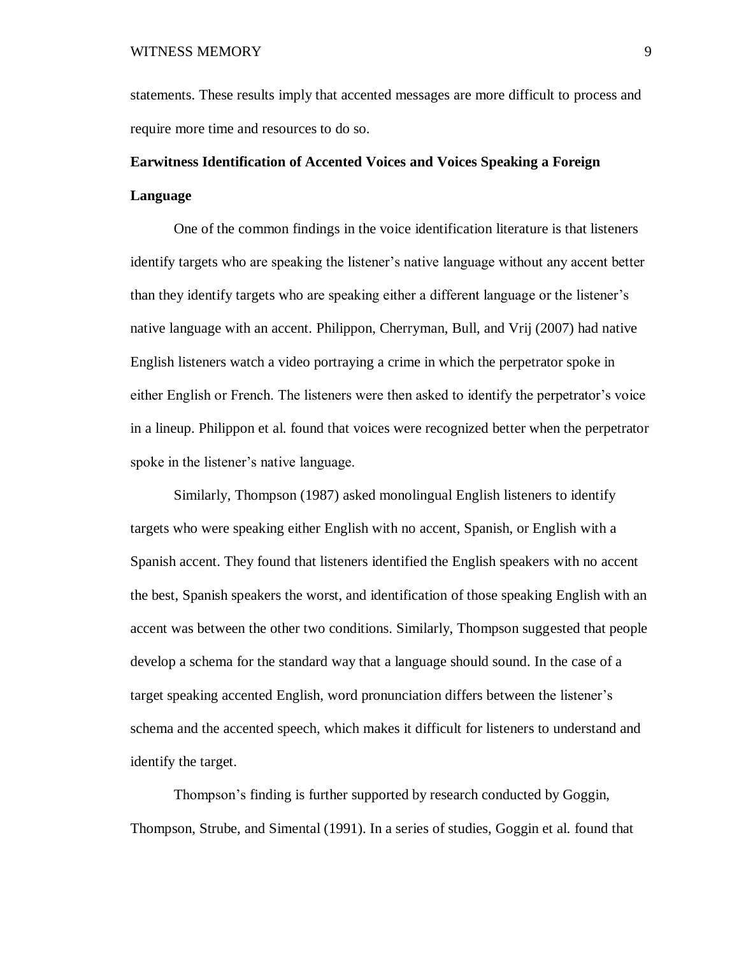statements. These results imply that accented messages are more difficult to process and require more time and resources to do so.

# **Earwitness Identification of Accented Voices and Voices Speaking a Foreign Language**

One of the common findings in the voice identification literature is that listeners identify targets who are speaking the listener's native language without any accent better than they identify targets who are speaking either a different language or the listener's native language with an accent. Philippon, Cherryman, Bull, and Vrij (2007) had native English listeners watch a video portraying a crime in which the perpetrator spoke in either English or French. The listeners were then asked to identify the perpetrator's voice in a lineup. Philippon et al. found that voices were recognized better when the perpetrator spoke in the listener's native language.

Similarly, Thompson (1987) asked monolingual English listeners to identify targets who were speaking either English with no accent, Spanish, or English with a Spanish accent. They found that listeners identified the English speakers with no accent the best, Spanish speakers the worst, and identification of those speaking English with an accent was between the other two conditions. Similarly, Thompson suggested that people develop a schema for the standard way that a language should sound. In the case of a target speaking accented English, word pronunciation differs between the listener's schema and the accented speech, which makes it difficult for listeners to understand and identify the target.

Thompson's finding is further supported by research conducted by Goggin, Thompson, Strube, and Simental (1991). In a series of studies, Goggin et al. found that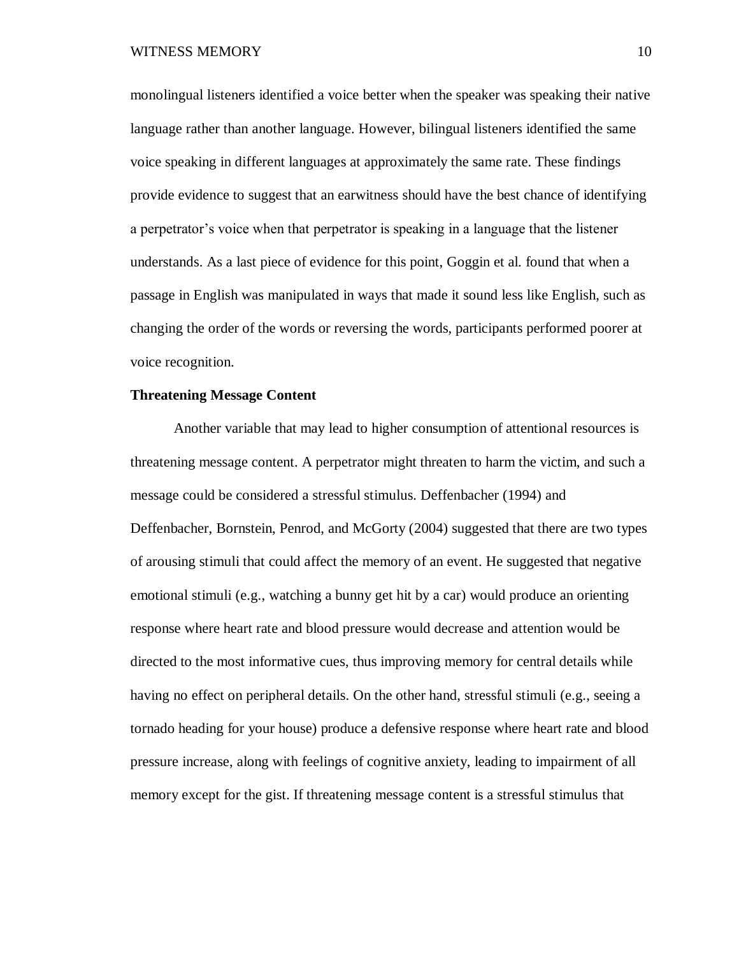monolingual listeners identified a voice better when the speaker was speaking their native language rather than another language. However, bilingual listeners identified the same voice speaking in different languages at approximately the same rate. These findings provide evidence to suggest that an earwitness should have the best chance of identifying a perpetrator's voice when that perpetrator is speaking in a language that the listener understands. As a last piece of evidence for this point, Goggin et al. found that when a passage in English was manipulated in ways that made it sound less like English, such as changing the order of the words or reversing the words, participants performed poorer at voice recognition.

#### **Threatening Message Content**

Another variable that may lead to higher consumption of attentional resources is threatening message content. A perpetrator might threaten to harm the victim, and such a message could be considered a stressful stimulus. Deffenbacher (1994) and Deffenbacher, Bornstein, Penrod, and McGorty (2004) suggested that there are two types of arousing stimuli that could affect the memory of an event. He suggested that negative emotional stimuli (e.g., watching a bunny get hit by a car) would produce an orienting response where heart rate and blood pressure would decrease and attention would be directed to the most informative cues, thus improving memory for central details while having no effect on peripheral details. On the other hand, stressful stimuli (e.g., seeing a tornado heading for your house) produce a defensive response where heart rate and blood pressure increase, along with feelings of cognitive anxiety, leading to impairment of all memory except for the gist. If threatening message content is a stressful stimulus that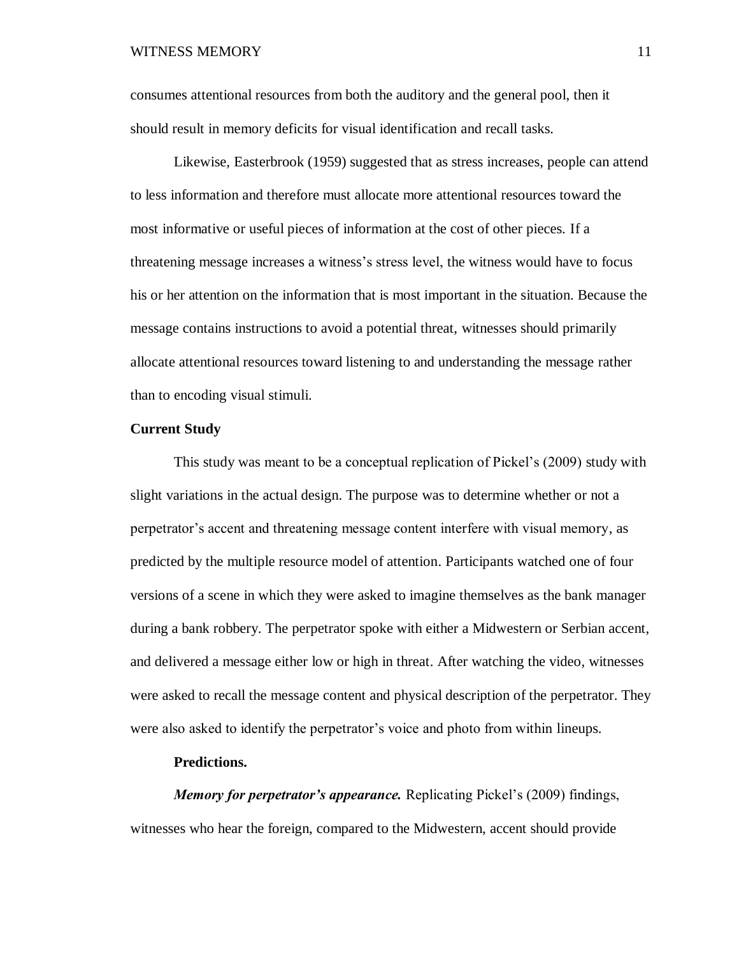consumes attentional resources from both the auditory and the general pool, then it should result in memory deficits for visual identification and recall tasks.

Likewise, Easterbrook (1959) suggested that as stress increases, people can attend to less information and therefore must allocate more attentional resources toward the most informative or useful pieces of information at the cost of other pieces. If a threatening message increases a witness's stress level, the witness would have to focus his or her attention on the information that is most important in the situation. Because the message contains instructions to avoid a potential threat, witnesses should primarily allocate attentional resources toward listening to and understanding the message rather than to encoding visual stimuli.

#### **Current Study**

This study was meant to be a conceptual replication of Pickel's (2009) study with slight variations in the actual design. The purpose was to determine whether or not a perpetrator's accent and threatening message content interfere with visual memory, as predicted by the multiple resource model of attention. Participants watched one of four versions of a scene in which they were asked to imagine themselves as the bank manager during a bank robbery. The perpetrator spoke with either a Midwestern or Serbian accent, and delivered a message either low or high in threat. After watching the video, witnesses were asked to recall the message content and physical description of the perpetrator. They were also asked to identify the perpetrator's voice and photo from within lineups.

#### **Predictions.**

*Memory for perpetrator's appearance.* Replicating Pickel's (2009) findings, witnesses who hear the foreign, compared to the Midwestern, accent should provide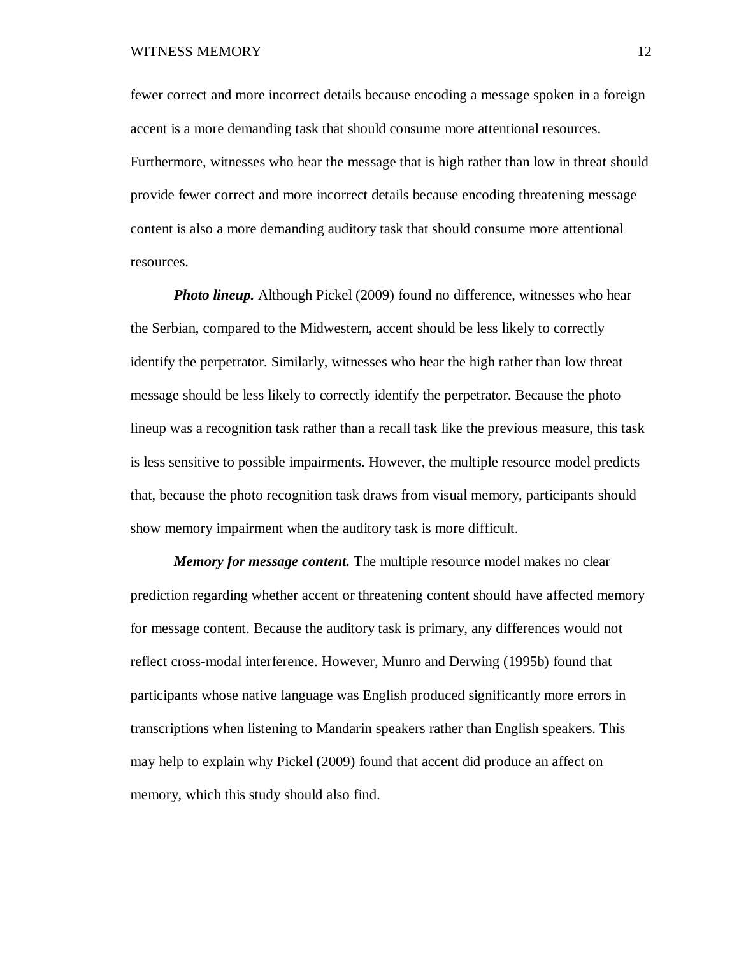fewer correct and more incorrect details because encoding a message spoken in a foreign accent is a more demanding task that should consume more attentional resources. Furthermore, witnesses who hear the message that is high rather than low in threat should provide fewer correct and more incorrect details because encoding threatening message content is also a more demanding auditory task that should consume more attentional resources.

*Photo lineup.* Although Pickel (2009) found no difference, witnesses who hear the Serbian, compared to the Midwestern, accent should be less likely to correctly identify the perpetrator. Similarly, witnesses who hear the high rather than low threat message should be less likely to correctly identify the perpetrator. Because the photo lineup was a recognition task rather than a recall task like the previous measure, this task is less sensitive to possible impairments. However, the multiple resource model predicts that, because the photo recognition task draws from visual memory, participants should show memory impairment when the auditory task is more difficult.

*Memory for message content.* The multiple resource model makes no clear prediction regarding whether accent or threatening content should have affected memory for message content. Because the auditory task is primary, any differences would not reflect cross-modal interference. However, Munro and Derwing (1995b) found that participants whose native language was English produced significantly more errors in transcriptions when listening to Mandarin speakers rather than English speakers. This may help to explain why Pickel (2009) found that accent did produce an affect on memory, which this study should also find.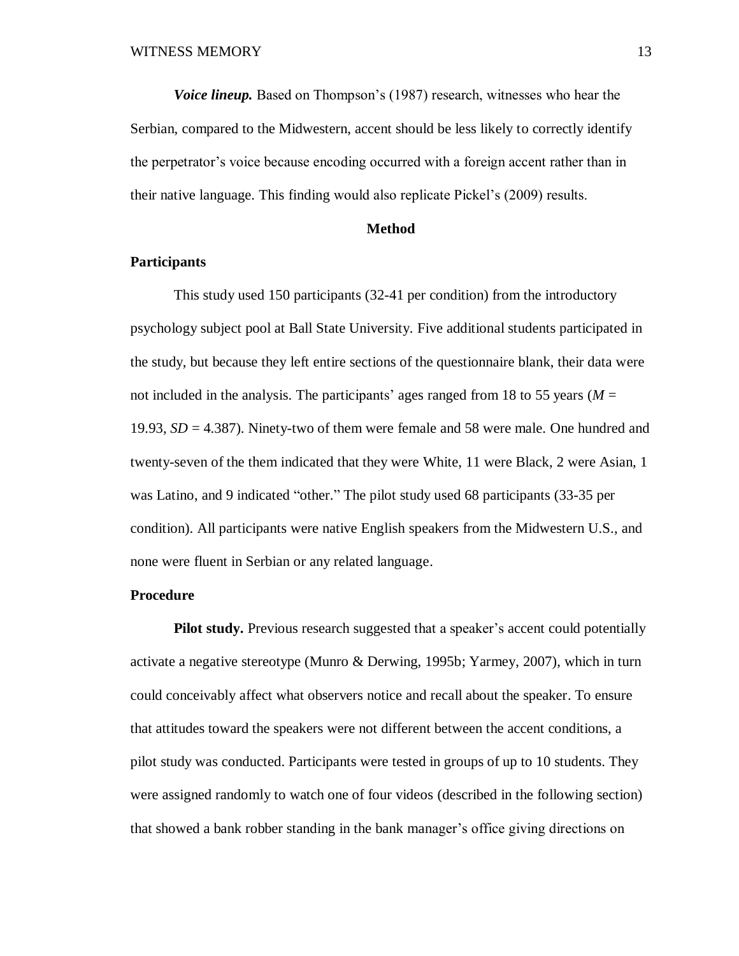*Voice lineup.* Based on Thompson's (1987) research, witnesses who hear the Serbian, compared to the Midwestern, accent should be less likely to correctly identify the perpetrator's voice because encoding occurred with a foreign accent rather than in their native language. This finding would also replicate Pickel's (2009) results.

#### **Method**

#### **Participants**

This study used 150 participants (32-41 per condition) from the introductory psychology subject pool at Ball State University. Five additional students participated in the study, but because they left entire sections of the questionnaire blank, their data were not included in the analysis. The participants' ages ranged from 18 to 55 years ( $M =$ 19.93, *SD* = 4.387). Ninety-two of them were female and 58 were male. One hundred and twenty-seven of the them indicated that they were White, 11 were Black, 2 were Asian, 1 was Latino, and 9 indicated "other." The pilot study used 68 participants (33-35 per condition). All participants were native English speakers from the Midwestern U.S., and none were fluent in Serbian or any related language.

#### **Procedure**

**Pilot study.** Previous research suggested that a speaker's accent could potentially activate a negative stereotype (Munro & Derwing, 1995b; Yarmey, 2007), which in turn could conceivably affect what observers notice and recall about the speaker. To ensure that attitudes toward the speakers were not different between the accent conditions, a pilot study was conducted. Participants were tested in groups of up to 10 students. They were assigned randomly to watch one of four videos (described in the following section) that showed a bank robber standing in the bank manager's office giving directions on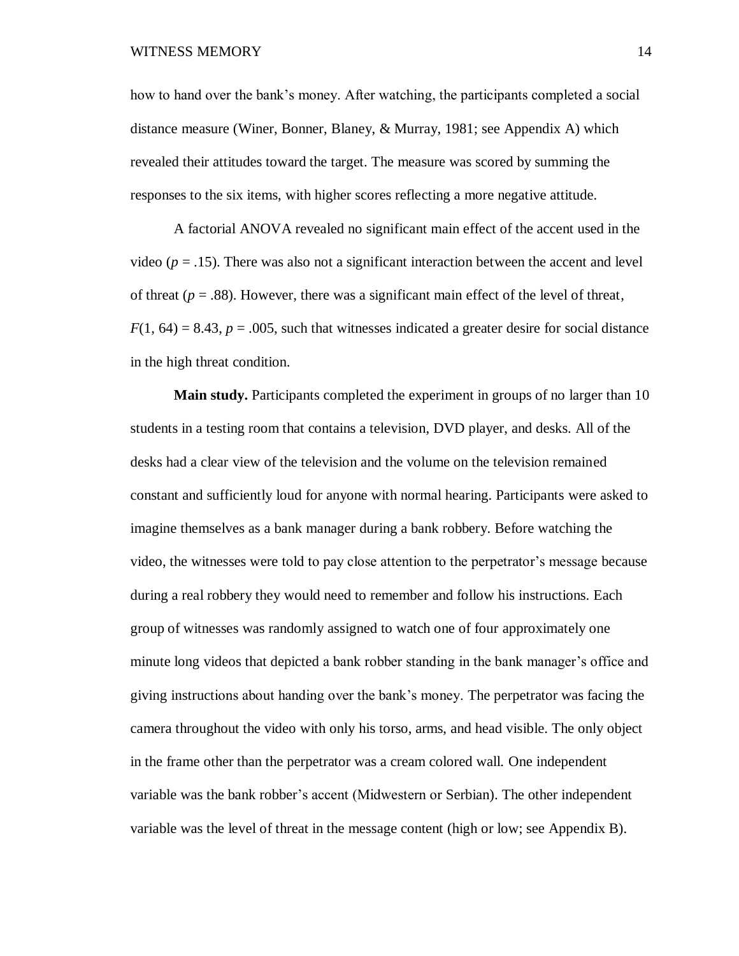how to hand over the bank's money. After watching, the participants completed a social distance measure (Winer, Bonner, Blaney, & Murray, 1981; see Appendix A) which revealed their attitudes toward the target. The measure was scored by summing the responses to the six items, with higher scores reflecting a more negative attitude.

A factorial ANOVA revealed no significant main effect of the accent used in the video ( $p = 0.15$ ). There was also not a significant interaction between the accent and level of threat  $(p = .88)$ . However, there was a significant main effect of the level of threat,  $F(1, 64) = 8.43$ ,  $p = .005$ , such that witnesses indicated a greater desire for social distance in the high threat condition.

**Main study.** Participants completed the experiment in groups of no larger than 10 students in a testing room that contains a television, DVD player, and desks. All of the desks had a clear view of the television and the volume on the television remained constant and sufficiently loud for anyone with normal hearing. Participants were asked to imagine themselves as a bank manager during a bank robbery. Before watching the video, the witnesses were told to pay close attention to the perpetrator's message because during a real robbery they would need to remember and follow his instructions. Each group of witnesses was randomly assigned to watch one of four approximately one minute long videos that depicted a bank robber standing in the bank manager's office and giving instructions about handing over the bank's money. The perpetrator was facing the camera throughout the video with only his torso, arms, and head visible. The only object in the frame other than the perpetrator was a cream colored wall. One independent variable was the bank robber's accent (Midwestern or Serbian). The other independent variable was the level of threat in the message content (high or low; see Appendix B).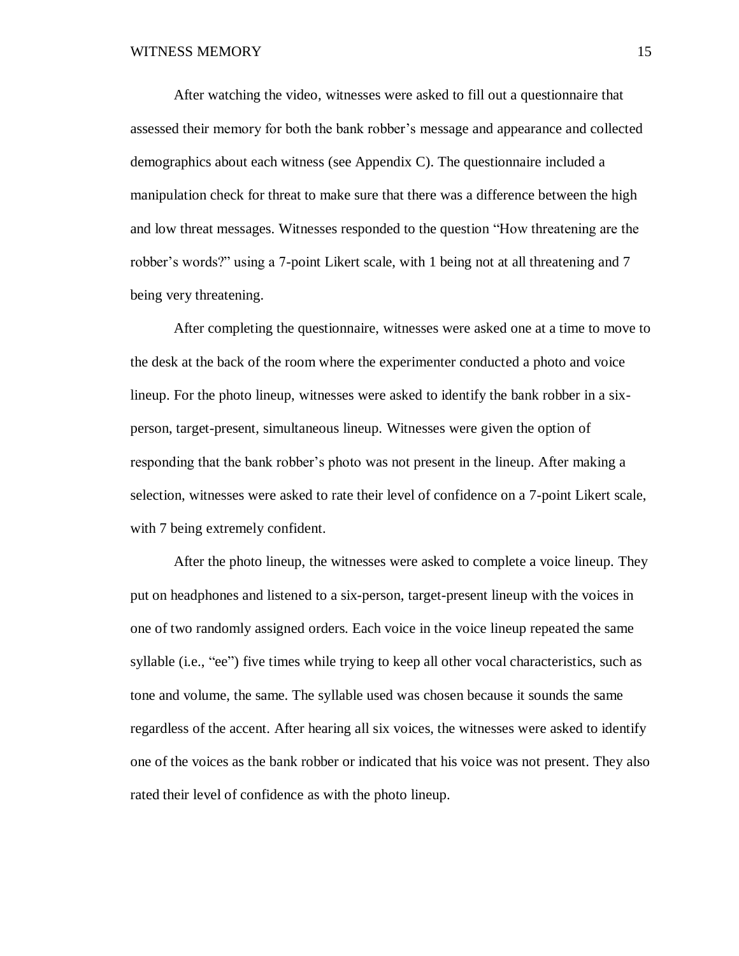After watching the video, witnesses were asked to fill out a questionnaire that assessed their memory for both the bank robber's message and appearance and collected demographics about each witness (see Appendix C). The questionnaire included a manipulation check for threat to make sure that there was a difference between the high and low threat messages. Witnesses responded to the question "How threatening are the robber's words?" using a 7-point Likert scale, with 1 being not at all threatening and 7 being very threatening.

After completing the questionnaire, witnesses were asked one at a time to move to the desk at the back of the room where the experimenter conducted a photo and voice lineup. For the photo lineup, witnesses were asked to identify the bank robber in a sixperson, target-present, simultaneous lineup. Witnesses were given the option of responding that the bank robber's photo was not present in the lineup. After making a selection, witnesses were asked to rate their level of confidence on a 7-point Likert scale, with 7 being extremely confident.

After the photo lineup, the witnesses were asked to complete a voice lineup. They put on headphones and listened to a six-person, target-present lineup with the voices in one of two randomly assigned orders. Each voice in the voice lineup repeated the same syllable (i.e., "ee") five times while trying to keep all other vocal characteristics, such as tone and volume, the same. The syllable used was chosen because it sounds the same regardless of the accent. After hearing all six voices, the witnesses were asked to identify one of the voices as the bank robber or indicated that his voice was not present. They also rated their level of confidence as with the photo lineup.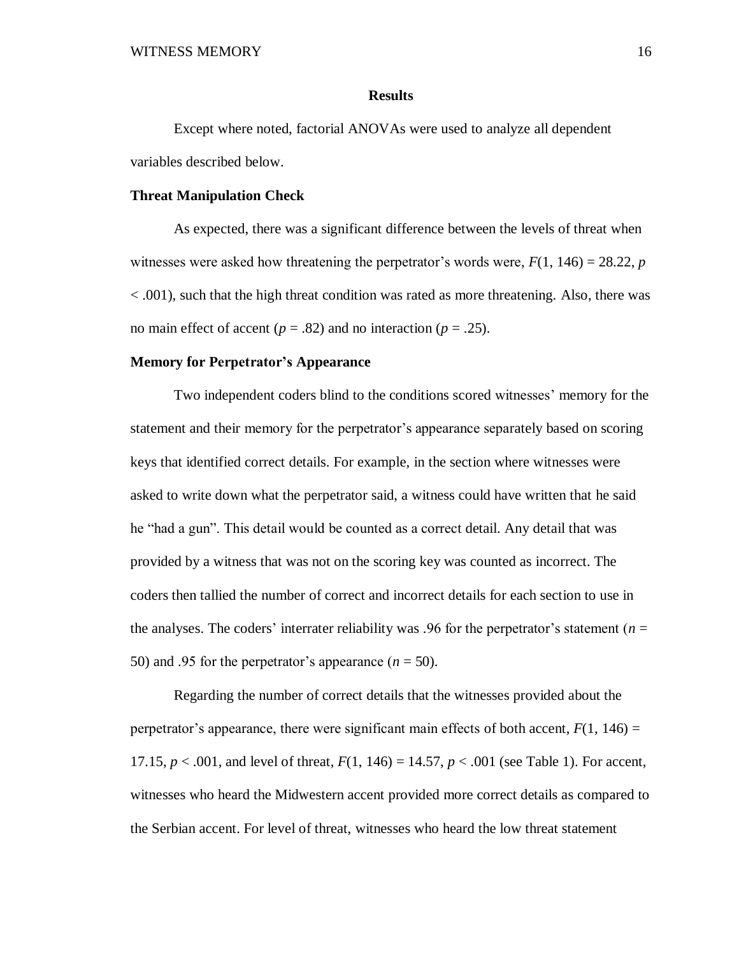#### **Results**

Except where noted, factorial ANOVAs were used to analyze all dependent variables described below.

#### **Threat Manipulation Check**

As expected, there was a significant difference between the levels of threat when witnesses were asked how threatening the perpetrator's words were,  $F(1, 146) = 28.22$ , *p* < .001), such that the high threat condition was rated as more threatening. Also, there was no main effect of accent ( $p = .82$ ) and no interaction ( $p = .25$ ).

#### **Memory for Perpetrator's Appearance**

Two independent coders blind to the conditions scored witnesses' memory for the statement and their memory for the perpetrator's appearance separately based on scoring keys that identified correct details. For example, in the section where witnesses were asked to write down what the perpetrator said, a witness could have written that he said he "had a gun". This detail would be counted as a correct detail. Any detail that was provided by a witness that was not on the scoring key was counted as incorrect. The coders then tallied the number of correct and incorrect details for each section to use in the analyses. The coders' interrater reliability was .96 for the perpetrator's statement  $(n = 1, 2, 3)$ 50) and .95 for the perpetrator's appearance  $(n = 50)$ .

Regarding the number of correct details that the witnesses provided about the perpetrator's appearance, there were significant main effects of both accent,  $F(1, 146) =$ 17.15,  $p < .001$ , and level of threat,  $F(1, 146) = 14.57$ ,  $p < .001$  (see Table 1). For accent, witnesses who heard the Midwestern accent provided more correct details as compared to the Serbian accent. For level of threat, witnesses who heard the low threat statement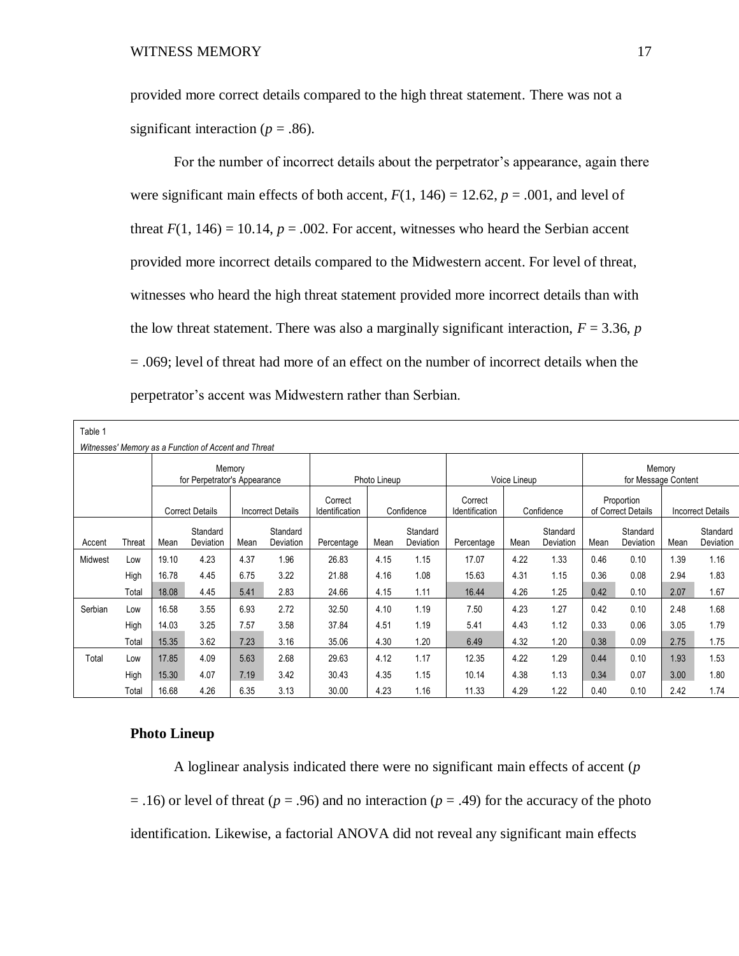provided more correct details compared to the high threat statement. There was not a significant interaction ( $p = .86$ ).

For the number of incorrect details about the perpetrator's appearance, again there were significant main effects of both accent,  $F(1, 146) = 12.62$ ,  $p = .001$ , and level of threat  $F(1, 146) = 10.14$ ,  $p = .002$ . For accent, witnesses who heard the Serbian accent provided more incorrect details compared to the Midwestern accent. For level of threat, witnesses who heard the high threat statement provided more incorrect details than with the low threat statement. There was also a marginally significant interaction,  $F = 3.36$ ,  $p$ = .069; level of threat had more of an effect on the number of incorrect details when the perpetrator's accent was Midwestern rather than Serbian.

| Table 1                                              |        |                                        |                       |                          |                       |                                  |            |                       |                           |            |                               |                                  |                       |                          |                       |
|------------------------------------------------------|--------|----------------------------------------|-----------------------|--------------------------|-----------------------|----------------------------------|------------|-----------------------|---------------------------|------------|-------------------------------|----------------------------------|-----------------------|--------------------------|-----------------------|
| Witnesses' Memory as a Function of Accent and Threat |        |                                        |                       |                          |                       |                                  |            |                       |                           |            |                               |                                  |                       |                          |                       |
|                                                      |        | Memory<br>for Perpetrator's Appearance |                       |                          | Photo Lineup          |                                  |            | Voice Lineup          |                           |            | Memory<br>for Message Content |                                  |                       |                          |                       |
|                                                      |        | <b>Correct Details</b>                 |                       | <b>Incorrect Details</b> |                       | Correct<br><b>Identification</b> | Confidence |                       | Correct<br>Identification | Confidence |                               | Proportion<br>of Correct Details |                       | <b>Incorrect Details</b> |                       |
| Accent                                               | Threat | Mean                                   | Standard<br>Deviation | Mean                     | Standard<br>Deviation | Percentage                       | Mean       | Standard<br>Deviation | Percentage                | Mean       | Standard<br>Deviation         | Mean                             | Standard<br>Deviation | Mean                     | Standard<br>Deviation |
| Midwest                                              | Low    | 19.10                                  | 4.23                  | 4.37                     | 1.96                  | 26.83                            | 4.15       | 1.15                  | 17.07                     | 4.22       | 1.33                          | 0.46                             | 0.10                  | 1.39                     | 1.16                  |
|                                                      | High   | 16.78                                  | 4.45                  | 6.75                     | 3.22                  | 21.88                            | 4.16       | 1.08                  | 15.63                     | 4.31       | 1.15                          | 0.36                             | 0.08                  | 2.94                     | 1.83                  |
|                                                      | Total  | 18.08                                  | 4.45                  | 5.41                     | 2.83                  | 24.66                            | 4.15       | 1.11                  | 16.44                     | 4.26       | 1.25                          | 0.42                             | 0.10                  | 2.07                     | 1.67                  |
| Serbian                                              | Low    | 16.58                                  | 3.55                  | 6.93                     | 2.72                  | 32.50                            | 4.10       | 1.19                  | 7.50                      | 4.23       | 1.27                          | 0.42                             | 0.10                  | 2.48                     | 1.68                  |
|                                                      | High   | 14.03                                  | 3.25                  | 7.57                     | 3.58                  | 37.84                            | 4.51       | 1.19                  | 5.41                      | 4.43       | 1.12                          | 0.33                             | 0.06                  | 3.05                     | 1.79                  |
|                                                      | Total  | 15.35                                  | 3.62                  | 7.23                     | 3.16                  | 35.06                            | 4.30       | 1.20                  | 6.49                      | 4.32       | 1.20                          | 0.38                             | 0.09                  | 2.75                     | 1.75                  |
| Total                                                | Low    | 17.85                                  | 4.09                  | 5.63                     | 2.68                  | 29.63                            | 4.12       | 1.17                  | 12.35                     | 4.22       | 1.29                          | 0.44                             | 0.10                  | 1.93                     | 1.53                  |
|                                                      | High   | 15.30                                  | 4.07                  | 7.19                     | 3.42                  | 30.43                            | 4.35       | 1.15                  | 10.14                     | 4.38       | 1.13                          | 0.34                             | 0.07                  | 3.00                     | 1.80                  |
|                                                      | Total  | 16.68                                  | 4.26                  | 6.35                     | 3.13                  | 30.00                            | 4.23       | 1.16                  | 11.33                     | 4.29       | 1.22                          | 0.40                             | 0.10                  | 2.42                     | 1.74                  |

#### **Photo Lineup**

A loglinear analysis indicated there were no significant main effects of accent (*p*  = .16) or level of threat (*p* = .96) and no interaction (*p* = .49) for the accuracy of the photo identification. Likewise, a factorial ANOVA did not reveal any significant main effects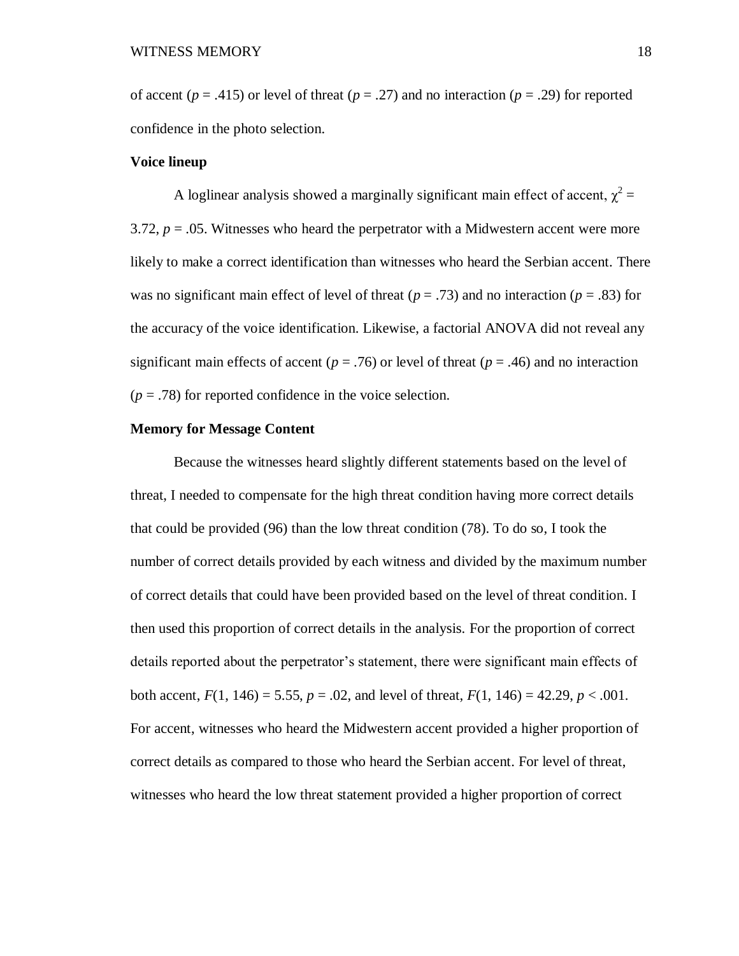of accent ( $p = .415$ ) or level of threat ( $p = .27$ ) and no interaction ( $p = .29$ ) for reported confidence in the photo selection.

#### **Voice lineup**

A loglinear analysis showed a marginally significant main effect of accent,  $\chi^2$  = 3.72,  $p = 0.05$ . Witnesses who heard the perpetrator with a Midwestern accent were more likely to make a correct identification than witnesses who heard the Serbian accent. There was no significant main effect of level of threat ( $p = .73$ ) and no interaction ( $p = .83$ ) for the accuracy of the voice identification. Likewise, a factorial ANOVA did not reveal any significant main effects of accent ( $p = .76$ ) or level of threat ( $p = .46$ ) and no interaction  $(p = .78)$  for reported confidence in the voice selection.

#### **Memory for Message Content**

Because the witnesses heard slightly different statements based on the level of threat, I needed to compensate for the high threat condition having more correct details that could be provided (96) than the low threat condition (78). To do so, I took the number of correct details provided by each witness and divided by the maximum number of correct details that could have been provided based on the level of threat condition. I then used this proportion of correct details in the analysis. For the proportion of correct details reported about the perpetrator's statement, there were significant main effects of both accent,  $F(1, 146) = 5.55$ ,  $p = .02$ , and level of threat,  $F(1, 146) = 42.29$ ,  $p < .001$ . For accent, witnesses who heard the Midwestern accent provided a higher proportion of correct details as compared to those who heard the Serbian accent. For level of threat, witnesses who heard the low threat statement provided a higher proportion of correct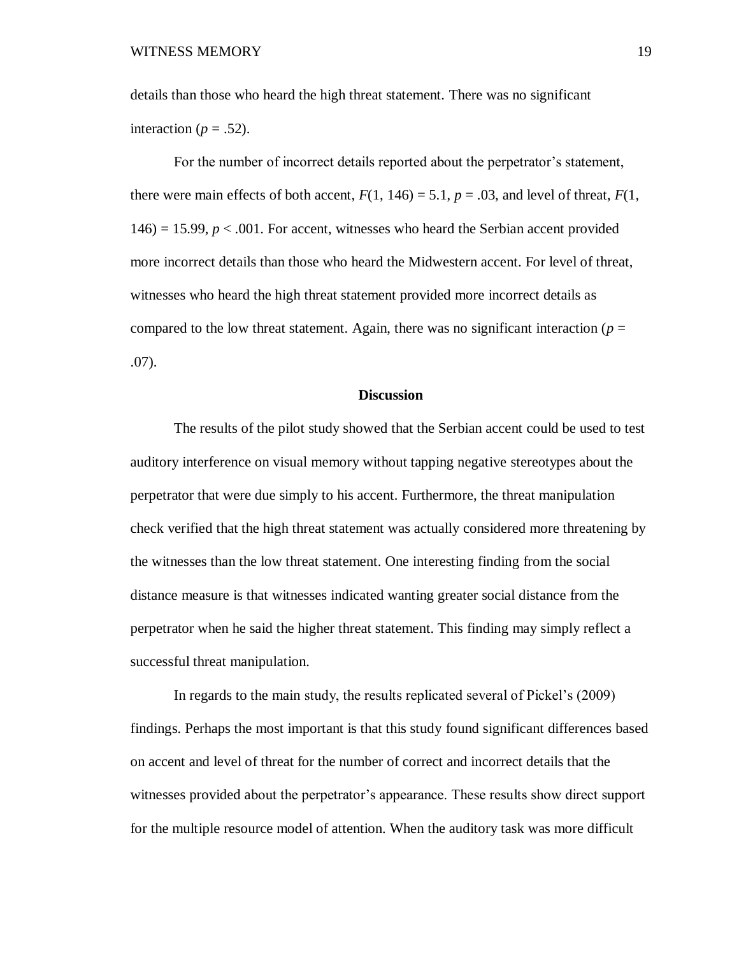details than those who heard the high threat statement. There was no significant interaction ( $p = .52$ ).

For the number of incorrect details reported about the perpetrator's statement, there were main effects of both accent,  $F(1, 146) = 5.1$ ,  $p = .03$ , and level of threat,  $F(1, 146) = 5.1$  $146$ ) = 15.99,  $p < .001$ . For accent, witnesses who heard the Serbian accent provided more incorrect details than those who heard the Midwestern accent. For level of threat, witnesses who heard the high threat statement provided more incorrect details as compared to the low threat statement. Again, there was no significant interaction ( $p =$ .07).

#### **Discussion**

The results of the pilot study showed that the Serbian accent could be used to test auditory interference on visual memory without tapping negative stereotypes about the perpetrator that were due simply to his accent. Furthermore, the threat manipulation check verified that the high threat statement was actually considered more threatening by the witnesses than the low threat statement. One interesting finding from the social distance measure is that witnesses indicated wanting greater social distance from the perpetrator when he said the higher threat statement. This finding may simply reflect a successful threat manipulation.

In regards to the main study, the results replicated several of Pickel's (2009) findings. Perhaps the most important is that this study found significant differences based on accent and level of threat for the number of correct and incorrect details that the witnesses provided about the perpetrator's appearance. These results show direct support for the multiple resource model of attention. When the auditory task was more difficult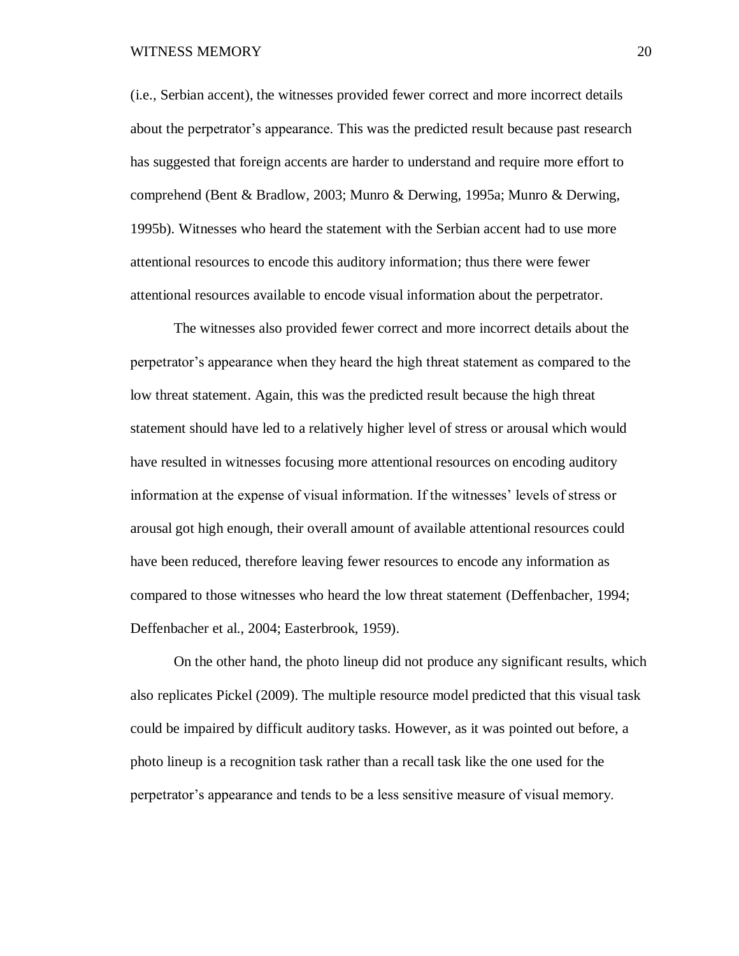(i.e., Serbian accent), the witnesses provided fewer correct and more incorrect details about the perpetrator's appearance. This was the predicted result because past research has suggested that foreign accents are harder to understand and require more effort to comprehend (Bent & Bradlow, 2003; Munro & Derwing, 1995a; Munro & Derwing, 1995b). Witnesses who heard the statement with the Serbian accent had to use more attentional resources to encode this auditory information; thus there were fewer attentional resources available to encode visual information about the perpetrator.

The witnesses also provided fewer correct and more incorrect details about the perpetrator's appearance when they heard the high threat statement as compared to the low threat statement. Again, this was the predicted result because the high threat statement should have led to a relatively higher level of stress or arousal which would have resulted in witnesses focusing more attentional resources on encoding auditory information at the expense of visual information. If the witnesses' levels of stress or arousal got high enough, their overall amount of available attentional resources could have been reduced, therefore leaving fewer resources to encode any information as compared to those witnesses who heard the low threat statement (Deffenbacher, 1994; Deffenbacher et al., 2004; Easterbrook, 1959).

On the other hand, the photo lineup did not produce any significant results, which also replicates Pickel (2009). The multiple resource model predicted that this visual task could be impaired by difficult auditory tasks. However, as it was pointed out before, a photo lineup is a recognition task rather than a recall task like the one used for the perpetrator's appearance and tends to be a less sensitive measure of visual memory.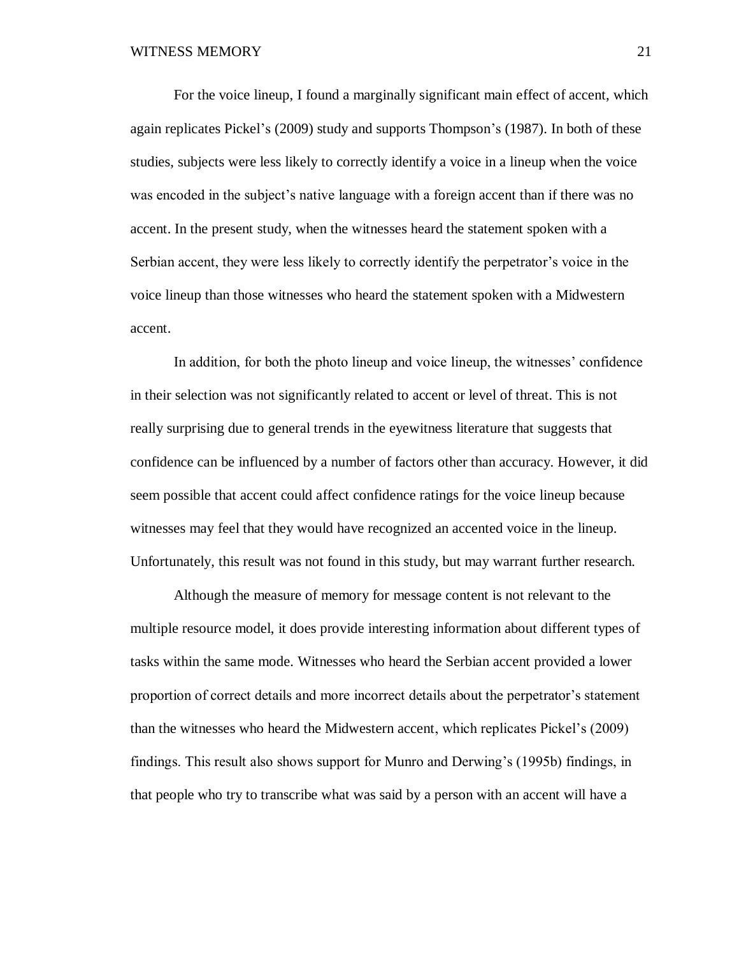For the voice lineup, I found a marginally significant main effect of accent, which again replicates Pickel's (2009) study and supports Thompson's (1987). In both of these studies, subjects were less likely to correctly identify a voice in a lineup when the voice was encoded in the subject's native language with a foreign accent than if there was no accent. In the present study, when the witnesses heard the statement spoken with a Serbian accent, they were less likely to correctly identify the perpetrator's voice in the voice lineup than those witnesses who heard the statement spoken with a Midwestern accent.

In addition, for both the photo lineup and voice lineup, the witnesses' confidence in their selection was not significantly related to accent or level of threat. This is not really surprising due to general trends in the eyewitness literature that suggests that confidence can be influenced by a number of factors other than accuracy. However, it did seem possible that accent could affect confidence ratings for the voice lineup because witnesses may feel that they would have recognized an accented voice in the lineup. Unfortunately, this result was not found in this study, but may warrant further research.

Although the measure of memory for message content is not relevant to the multiple resource model, it does provide interesting information about different types of tasks within the same mode. Witnesses who heard the Serbian accent provided a lower proportion of correct details and more incorrect details about the perpetrator's statement than the witnesses who heard the Midwestern accent, which replicates Pickel's (2009) findings. This result also shows support for Munro and Derwing's (1995b) findings, in that people who try to transcribe what was said by a person with an accent will have a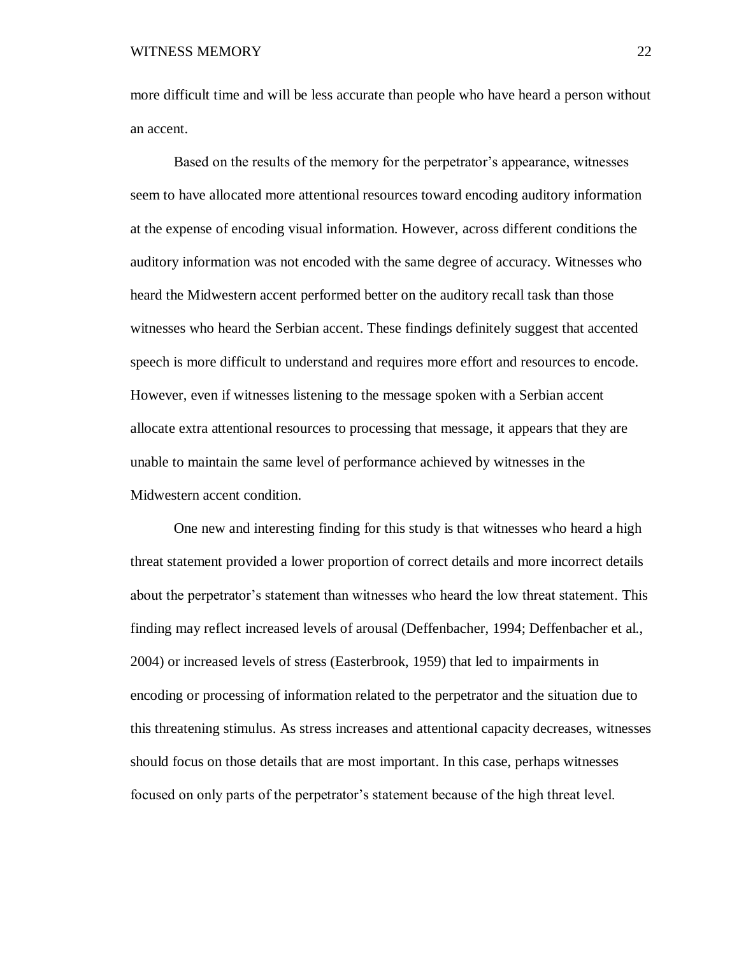more difficult time and will be less accurate than people who have heard a person without an accent.

Based on the results of the memory for the perpetrator's appearance, witnesses seem to have allocated more attentional resources toward encoding auditory information at the expense of encoding visual information. However, across different conditions the auditory information was not encoded with the same degree of accuracy. Witnesses who heard the Midwestern accent performed better on the auditory recall task than those witnesses who heard the Serbian accent. These findings definitely suggest that accented speech is more difficult to understand and requires more effort and resources to encode. However, even if witnesses listening to the message spoken with a Serbian accent allocate extra attentional resources to processing that message, it appears that they are unable to maintain the same level of performance achieved by witnesses in the Midwestern accent condition.

One new and interesting finding for this study is that witnesses who heard a high threat statement provided a lower proportion of correct details and more incorrect details about the perpetrator's statement than witnesses who heard the low threat statement. This finding may reflect increased levels of arousal (Deffenbacher, 1994; Deffenbacher et al., 2004) or increased levels of stress (Easterbrook, 1959) that led to impairments in encoding or processing of information related to the perpetrator and the situation due to this threatening stimulus. As stress increases and attentional capacity decreases, witnesses should focus on those details that are most important. In this case, perhaps witnesses focused on only parts of the perpetrator's statement because of the high threat level.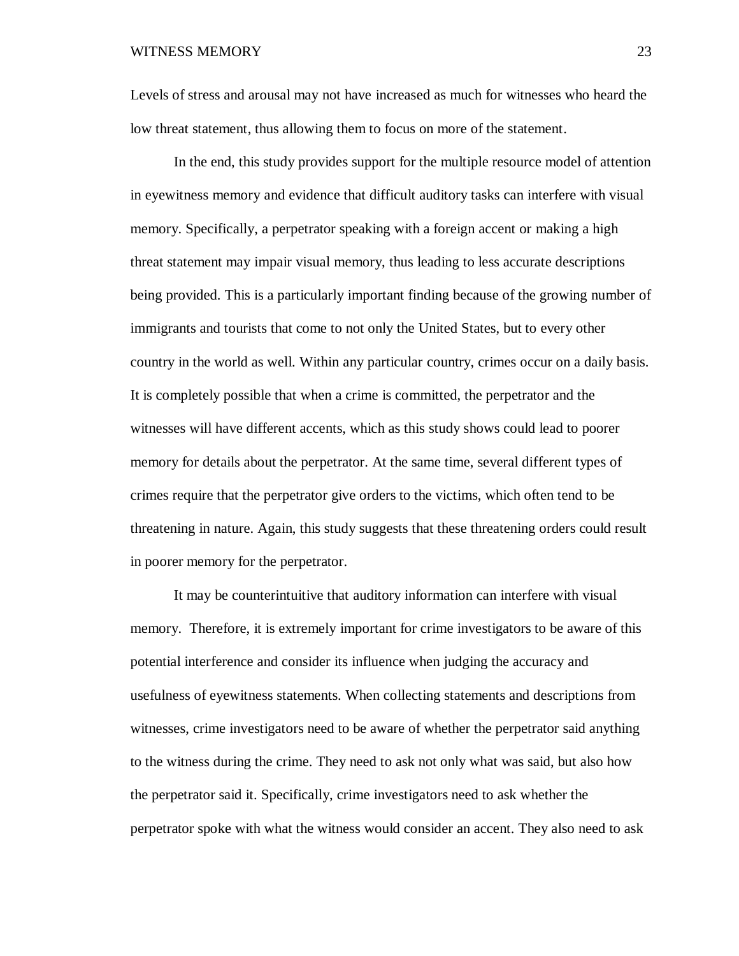Levels of stress and arousal may not have increased as much for witnesses who heard the low threat statement, thus allowing them to focus on more of the statement.

In the end, this study provides support for the multiple resource model of attention in eyewitness memory and evidence that difficult auditory tasks can interfere with visual memory. Specifically, a perpetrator speaking with a foreign accent or making a high threat statement may impair visual memory, thus leading to less accurate descriptions being provided. This is a particularly important finding because of the growing number of immigrants and tourists that come to not only the United States, but to every other country in the world as well. Within any particular country, crimes occur on a daily basis. It is completely possible that when a crime is committed, the perpetrator and the witnesses will have different accents, which as this study shows could lead to poorer memory for details about the perpetrator. At the same time, several different types of crimes require that the perpetrator give orders to the victims, which often tend to be threatening in nature. Again, this study suggests that these threatening orders could result in poorer memory for the perpetrator.

It may be counterintuitive that auditory information can interfere with visual memory. Therefore, it is extremely important for crime investigators to be aware of this potential interference and consider its influence when judging the accuracy and usefulness of eyewitness statements. When collecting statements and descriptions from witnesses, crime investigators need to be aware of whether the perpetrator said anything to the witness during the crime. They need to ask not only what was said, but also how the perpetrator said it. Specifically, crime investigators need to ask whether the perpetrator spoke with what the witness would consider an accent. They also need to ask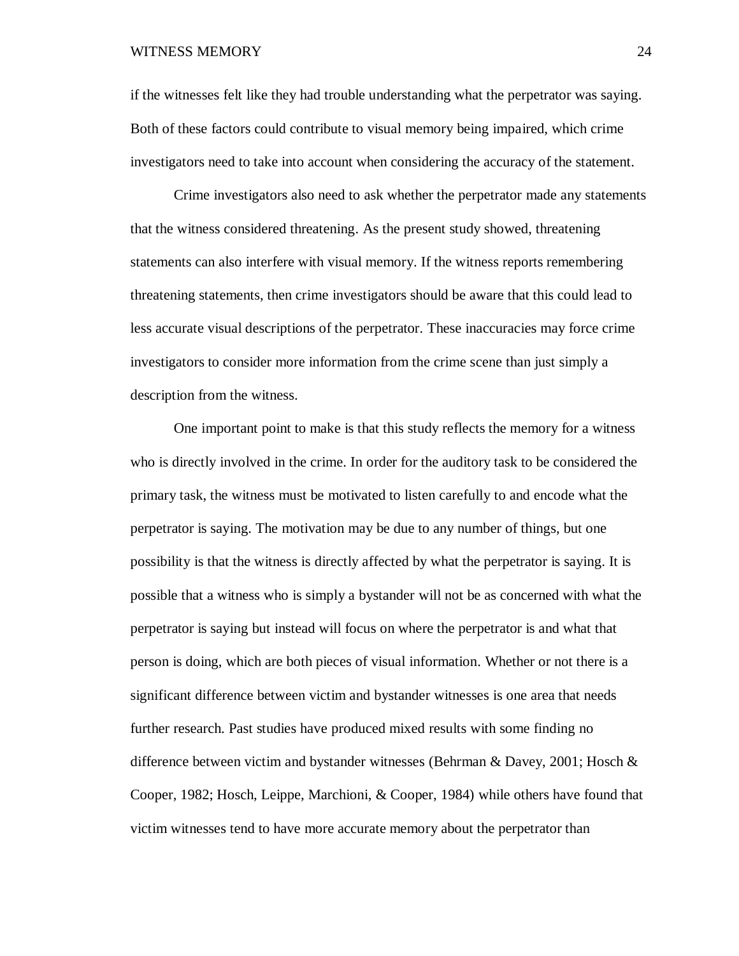#### WITNESS MEMORY 24

if the witnesses felt like they had trouble understanding what the perpetrator was saying. Both of these factors could contribute to visual memory being impaired, which crime investigators need to take into account when considering the accuracy of the statement.

Crime investigators also need to ask whether the perpetrator made any statements that the witness considered threatening. As the present study showed, threatening statements can also interfere with visual memory. If the witness reports remembering threatening statements, then crime investigators should be aware that this could lead to less accurate visual descriptions of the perpetrator. These inaccuracies may force crime investigators to consider more information from the crime scene than just simply a description from the witness.

One important point to make is that this study reflects the memory for a witness who is directly involved in the crime. In order for the auditory task to be considered the primary task, the witness must be motivated to listen carefully to and encode what the perpetrator is saying. The motivation may be due to any number of things, but one possibility is that the witness is directly affected by what the perpetrator is saying. It is possible that a witness who is simply a bystander will not be as concerned with what the perpetrator is saying but instead will focus on where the perpetrator is and what that person is doing, which are both pieces of visual information. Whether or not there is a significant difference between victim and bystander witnesses is one area that needs further research. Past studies have produced mixed results with some finding no difference between victim and bystander witnesses (Behrman & Davey, 2001; Hosch & Cooper, 1982; Hosch, Leippe, Marchioni, & Cooper, 1984) while others have found that victim witnesses tend to have more accurate memory about the perpetrator than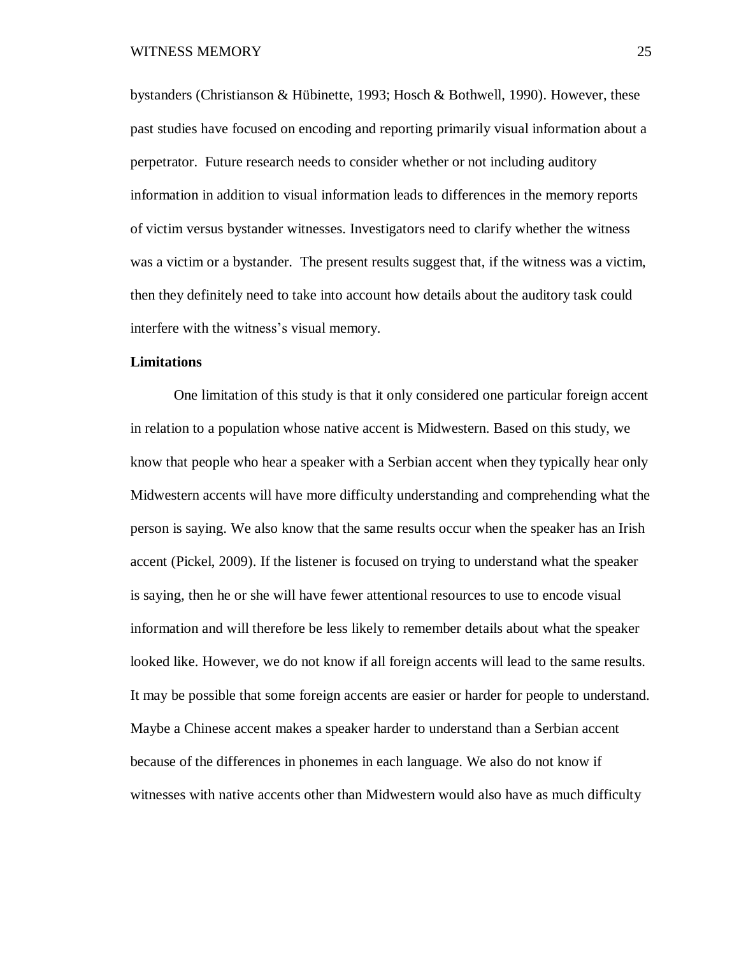bystanders (Christianson & Hübinette, 1993; Hosch & Bothwell, 1990). However, these past studies have focused on encoding and reporting primarily visual information about a perpetrator. Future research needs to consider whether or not including auditory information in addition to visual information leads to differences in the memory reports of victim versus bystander witnesses. Investigators need to clarify whether the witness was a victim or a bystander. The present results suggest that, if the witness was a victim, then they definitely need to take into account how details about the auditory task could interfere with the witness's visual memory.

#### **Limitations**

One limitation of this study is that it only considered one particular foreign accent in relation to a population whose native accent is Midwestern. Based on this study, we know that people who hear a speaker with a Serbian accent when they typically hear only Midwestern accents will have more difficulty understanding and comprehending what the person is saying. We also know that the same results occur when the speaker has an Irish accent (Pickel, 2009). If the listener is focused on trying to understand what the speaker is saying, then he or she will have fewer attentional resources to use to encode visual information and will therefore be less likely to remember details about what the speaker looked like. However, we do not know if all foreign accents will lead to the same results. It may be possible that some foreign accents are easier or harder for people to understand. Maybe a Chinese accent makes a speaker harder to understand than a Serbian accent because of the differences in phonemes in each language. We also do not know if witnesses with native accents other than Midwestern would also have as much difficulty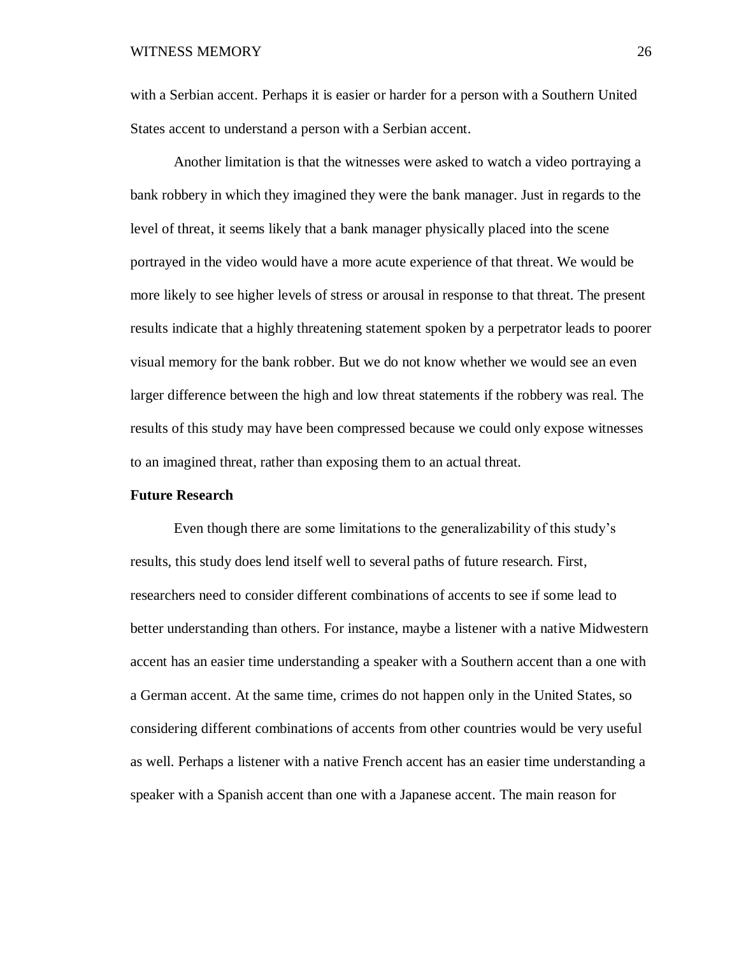with a Serbian accent. Perhaps it is easier or harder for a person with a Southern United States accent to understand a person with a Serbian accent.

Another limitation is that the witnesses were asked to watch a video portraying a bank robbery in which they imagined they were the bank manager. Just in regards to the level of threat, it seems likely that a bank manager physically placed into the scene portrayed in the video would have a more acute experience of that threat. We would be more likely to see higher levels of stress or arousal in response to that threat. The present results indicate that a highly threatening statement spoken by a perpetrator leads to poorer visual memory for the bank robber. But we do not know whether we would see an even larger difference between the high and low threat statements if the robbery was real. The results of this study may have been compressed because we could only expose witnesses to an imagined threat, rather than exposing them to an actual threat.

#### **Future Research**

Even though there are some limitations to the generalizability of this study's results, this study does lend itself well to several paths of future research. First, researchers need to consider different combinations of accents to see if some lead to better understanding than others. For instance, maybe a listener with a native Midwestern accent has an easier time understanding a speaker with a Southern accent than a one with a German accent. At the same time, crimes do not happen only in the United States, so considering different combinations of accents from other countries would be very useful as well. Perhaps a listener with a native French accent has an easier time understanding a speaker with a Spanish accent than one with a Japanese accent. The main reason for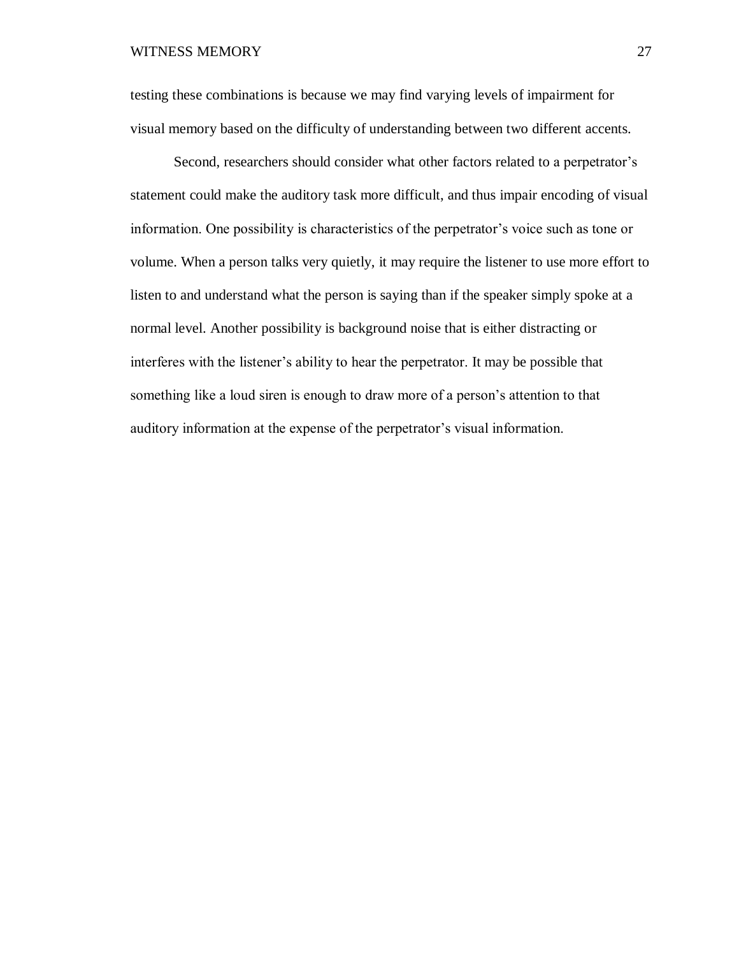testing these combinations is because we may find varying levels of impairment for visual memory based on the difficulty of understanding between two different accents.

Second, researchers should consider what other factors related to a perpetrator's statement could make the auditory task more difficult, and thus impair encoding of visual information. One possibility is characteristics of the perpetrator's voice such as tone or volume. When a person talks very quietly, it may require the listener to use more effort to listen to and understand what the person is saying than if the speaker simply spoke at a normal level. Another possibility is background noise that is either distracting or interferes with the listener's ability to hear the perpetrator. It may be possible that something like a loud siren is enough to draw more of a person's attention to that auditory information at the expense of the perpetrator's visual information.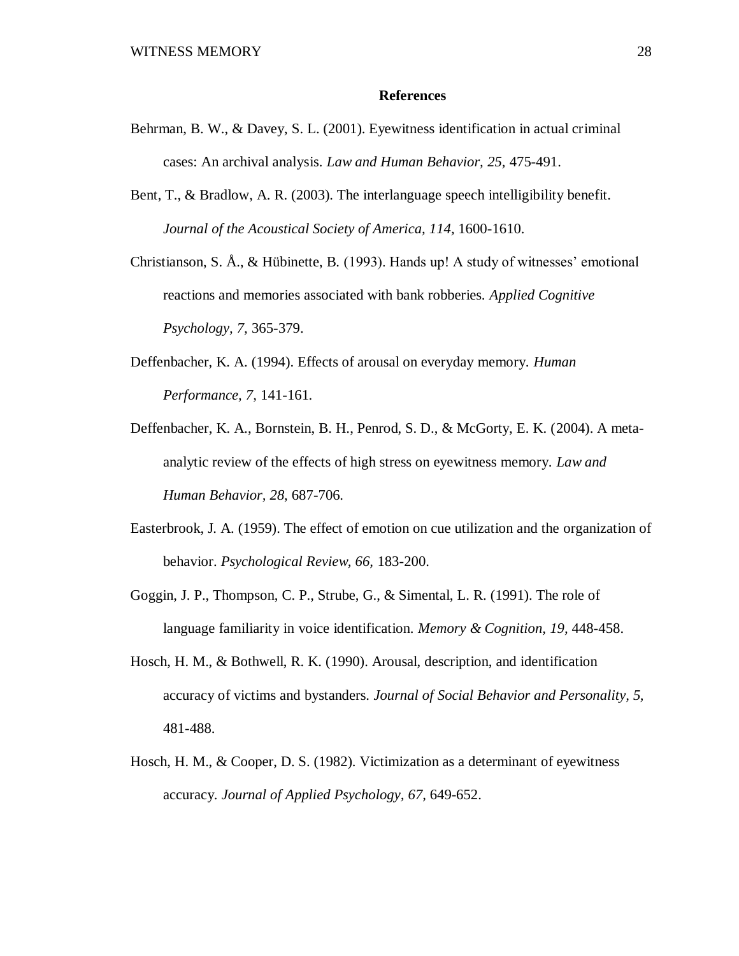#### **References**

- Behrman, B. W., & Davey, S. L. (2001). Eyewitness identification in actual criminal cases: An archival analysis. *Law and Human Behavior, 25,* 475-491.
- Bent, T., & Bradlow, A. R. (2003). The interlanguage speech intelligibility benefit. *Journal of the Acoustical Society of America, 114,* 1600-1610.

Christianson, S. Å., & Hübinette, B. (1993). Hands up! A study of witnesses' emotional reactions and memories associated with bank robberies. *Applied Cognitive Psychology, 7,* 365-379.

- Deffenbacher, K. A. (1994). Effects of arousal on everyday memory. *Human Performance, 7,* 141-161.
- Deffenbacher, K. A., Bornstein, B. H., Penrod, S. D., & McGorty, E. K. (2004). A metaanalytic review of the effects of high stress on eyewitness memory. *Law and Human Behavior, 28*, 687-706.
- Easterbrook, J. A. (1959). The effect of emotion on cue utilization and the organization of behavior. *Psychological Review, 66,* 183-200.
- Goggin, J. P., Thompson, C. P., Strube, G., & Simental, L. R. (1991). The role of language familiarity in voice identification. *Memory & Cognition, 19,* 448-458.
- Hosch, H. M., & Bothwell, R. K. (1990). Arousal, description, and identification accuracy of victims and bystanders. *Journal of Social Behavior and Personality, 5,*  481-488.
- Hosch, H. M., & Cooper, D. S. (1982). Victimization as a determinant of eyewitness accuracy. *Journal of Applied Psychology, 67,* 649-652.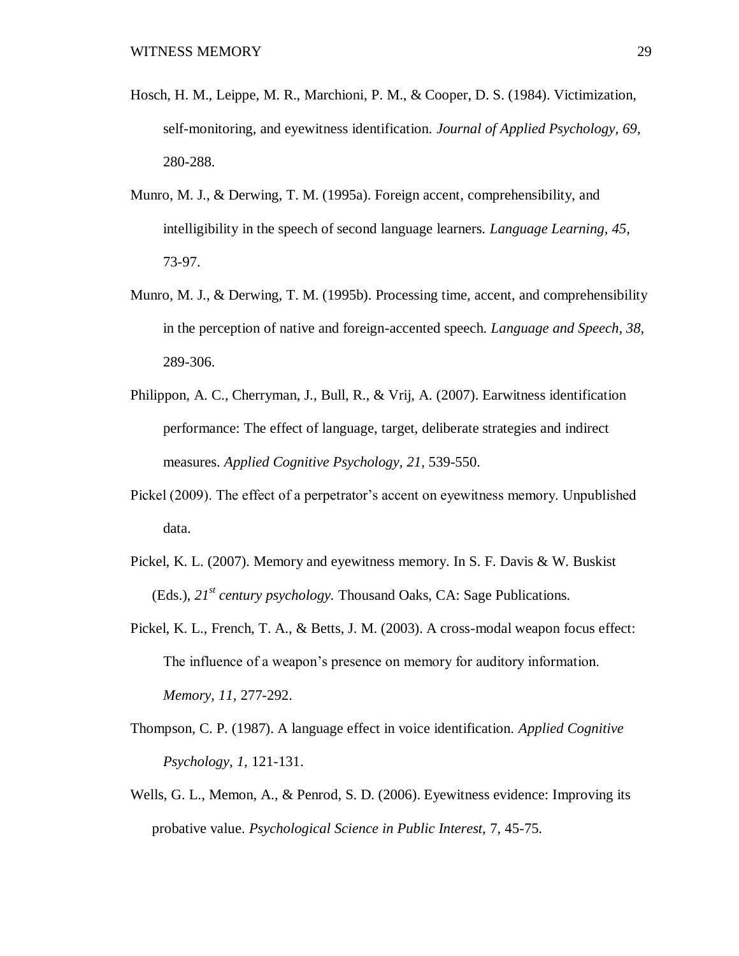- Hosch, H. M., Leippe, M. R., Marchioni, P. M., & Cooper, D. S. (1984). Victimization, self-monitoring, and eyewitness identification. *Journal of Applied Psychology, 69,* 280-288.
- Munro, M. J., & Derwing, T. M. (1995a). Foreign accent, comprehensibility, and intelligibility in the speech of second language learners. *Language Learning, 45,* 73-97.
- Munro, M. J., & Derwing, T. M. (1995b). Processing time, accent, and comprehensibility in the perception of native and foreign-accented speech. *Language and Speech, 38,* 289-306.
- Philippon, A. C., Cherryman, J., Bull, R., & Vrij, A. (2007). Earwitness identification performance: The effect of language, target, deliberate strategies and indirect measures. *Applied Cognitive Psychology, 21,* 539-550.
- Pickel (2009). The effect of a perpetrator's accent on eyewitness memory. Unpublished data.
- Pickel, K. L. (2007). Memory and eyewitness memory. In S. F. Davis & W. Buskist (Eds.), *21st century psychology.* Thousand Oaks, CA: Sage Publications.
- Pickel, K. L., French, T. A., & Betts, J. M. (2003). A cross-modal weapon focus effect: The influence of a weapon's presence on memory for auditory information. *Memory, 11,* 277-292.
- Thompson, C. P. (1987). A language effect in voice identification. *Applied Cognitive Psychology, 1,* 121-131.
- Wells, G. L., Memon, A., & Penrod, S. D. (2006). Eyewitness evidence: Improving its probative value. *Psychological Science in Public Interest,* 7, 45-75.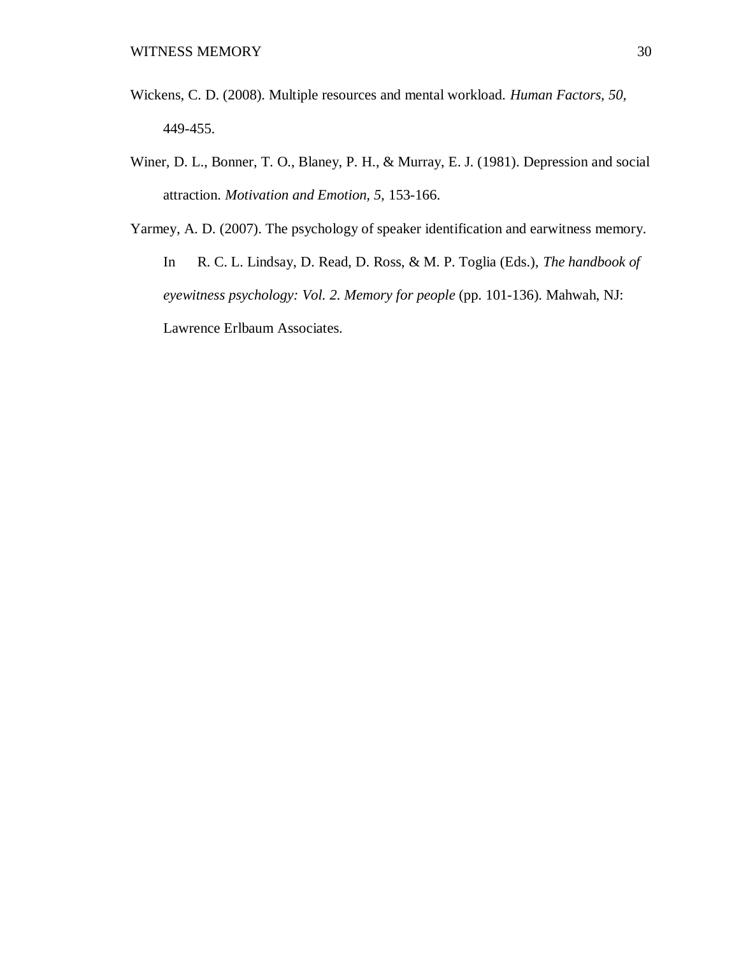- Wickens, C. D. (2008). Multiple resources and mental workload. *Human Factors, 50,*  449-455.
- Winer, D. L., Bonner, T. O., Blaney, P. H., & Murray, E. J. (1981). Depression and social attraction. *Motivation and Emotion, 5,* 153-166.
- Yarmey, A. D. (2007). The psychology of speaker identification and earwitness memory. In R. C. L. Lindsay, D. Read, D. Ross, & M. P. Toglia (Eds.), *The handbook of eyewitness psychology: Vol. 2. Memory for people* (pp. 101-136). Mahwah, NJ: Lawrence Erlbaum Associates.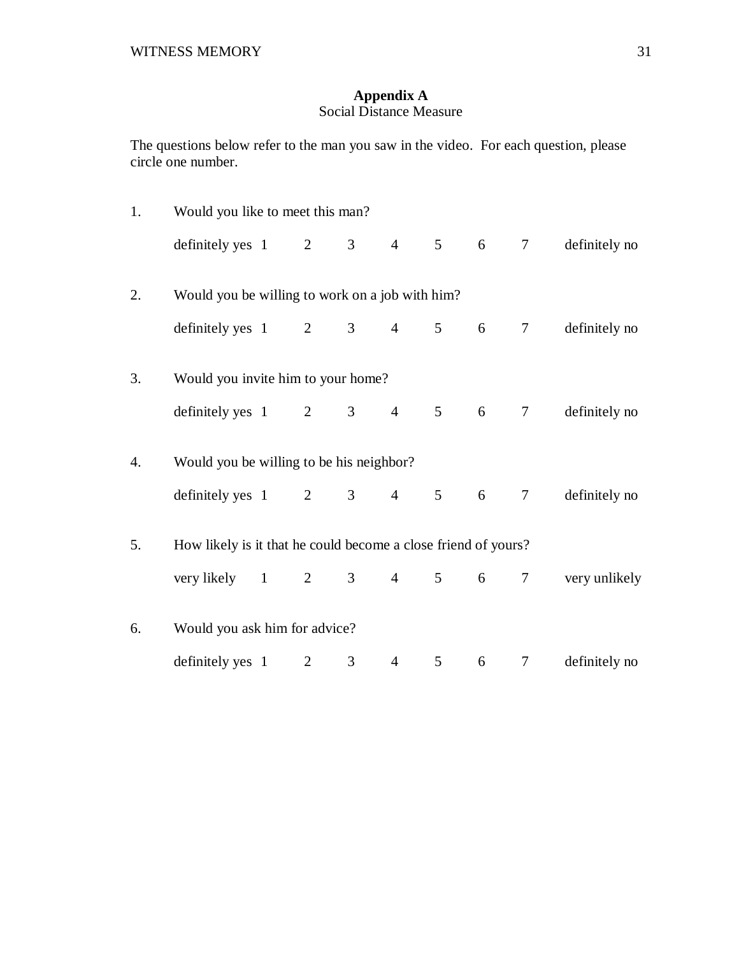## **Appendix A**

Social Distance Measure

The questions below refer to the man you saw in the video. For each question, please circle one number.

| 1.                                       | Would you like to meet this man?                               |  |  |  |                |                |     |                     |               |  |  |
|------------------------------------------|----------------------------------------------------------------|--|--|--|----------------|----------------|-----|---------------------|---------------|--|--|
|                                          | definitely yes $1 \t 2 \t 3 \t 4 \t 5 \t 6 \t 7$               |  |  |  |                |                |     |                     | definitely no |  |  |
| 2.                                       |                                                                |  |  |  |                |                |     |                     |               |  |  |
|                                          | definitely yes $1 \t 2 \t 3$                                   |  |  |  | $\overline{4}$ | 5 <sup>5</sup> | 6 7 |                     | definitely no |  |  |
| 3.<br>Would you invite him to your home? |                                                                |  |  |  |                |                |     |                     |               |  |  |
|                                          | definitely yes $1 \t 2 \t 3 \t 4$                              |  |  |  |                |                |     | $5\qquad 6\qquad 7$ | definitely no |  |  |
| 4.                                       | Would you be willing to be his neighbor?                       |  |  |  |                |                |     |                     |               |  |  |
|                                          | definitely yes $1 \t 2 \t 3 \t 4$                              |  |  |  |                | 5 <sup>5</sup> | 6   | $\overline{7}$      | definitely no |  |  |
| 5.                                       | How likely is it that he could become a close friend of yours? |  |  |  |                |                |     |                     |               |  |  |
|                                          | very likely $1 \t 2 \t 3 \t 4$                                 |  |  |  |                |                |     | 5 6 7               | very unlikely |  |  |
| 6.                                       | Would you ask him for advice?                                  |  |  |  |                |                |     |                     |               |  |  |
|                                          | definitely yes $1 \t 2 \t 3$                                   |  |  |  | $\overline{4}$ |                |     | $5\qquad 6\qquad 7$ | definitely no |  |  |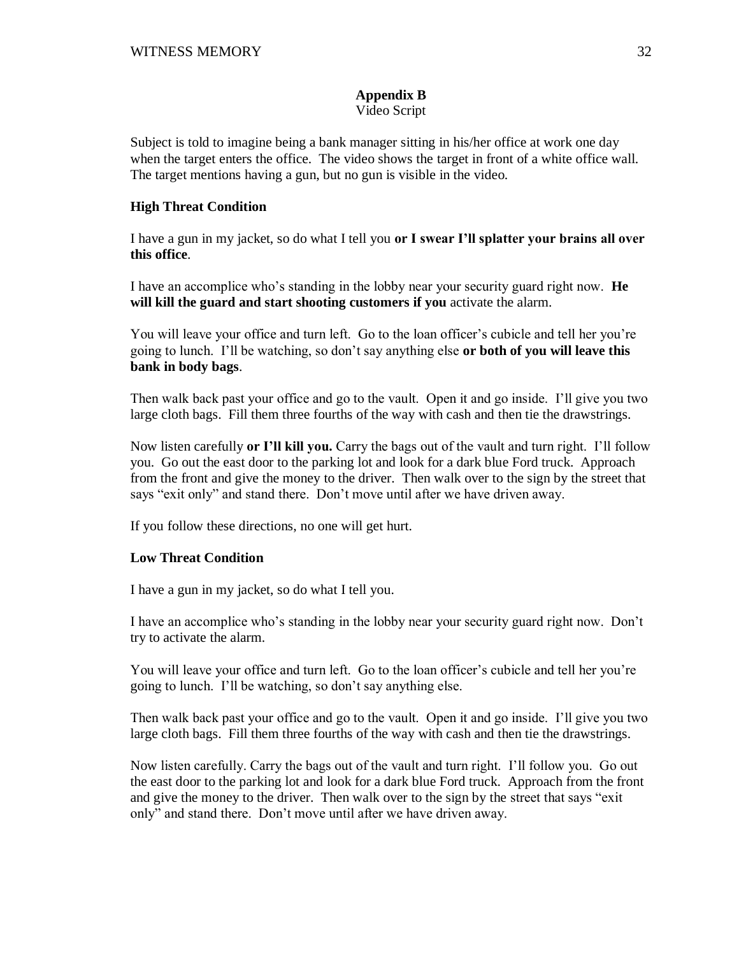#### **Appendix B** Video Script

Subject is told to imagine being a bank manager sitting in his/her office at work one day when the target enters the office. The video shows the target in front of a white office wall. The target mentions having a gun, but no gun is visible in the video.

#### **High Threat Condition**

I have a gun in my jacket, so do what I tell you **or I swear I'll splatter your brains all over this office**.

I have an accomplice who's standing in the lobby near your security guard right now. **He will kill the guard and start shooting customers if you** activate the alarm.

You will leave your office and turn left. Go to the loan officer's cubicle and tell her you're going to lunch. I'll be watching, so don't say anything else **or both of you will leave this bank in body bags**.

Then walk back past your office and go to the vault. Open it and go inside. I'll give you two large cloth bags. Fill them three fourths of the way with cash and then tie the drawstrings.

Now listen carefully **or I'll kill you.** Carry the bags out of the vault and turn right. I'll follow you. Go out the east door to the parking lot and look for a dark blue Ford truck. Approach from the front and give the money to the driver. Then walk over to the sign by the street that says "exit only" and stand there. Don't move until after we have driven away.

If you follow these directions, no one will get hurt.

#### **Low Threat Condition**

I have a gun in my jacket, so do what I tell you.

I have an accomplice who's standing in the lobby near your security guard right now. Don't try to activate the alarm.

You will leave your office and turn left. Go to the loan officer's cubicle and tell her you're going to lunch. I'll be watching, so don't say anything else.

Then walk back past your office and go to the vault. Open it and go inside. I'll give you two large cloth bags. Fill them three fourths of the way with cash and then tie the drawstrings.

Now listen carefully. Carry the bags out of the vault and turn right. I'll follow you. Go out the east door to the parking lot and look for a dark blue Ford truck. Approach from the front and give the money to the driver. Then walk over to the sign by the street that says "exit only" and stand there. Don't move until after we have driven away.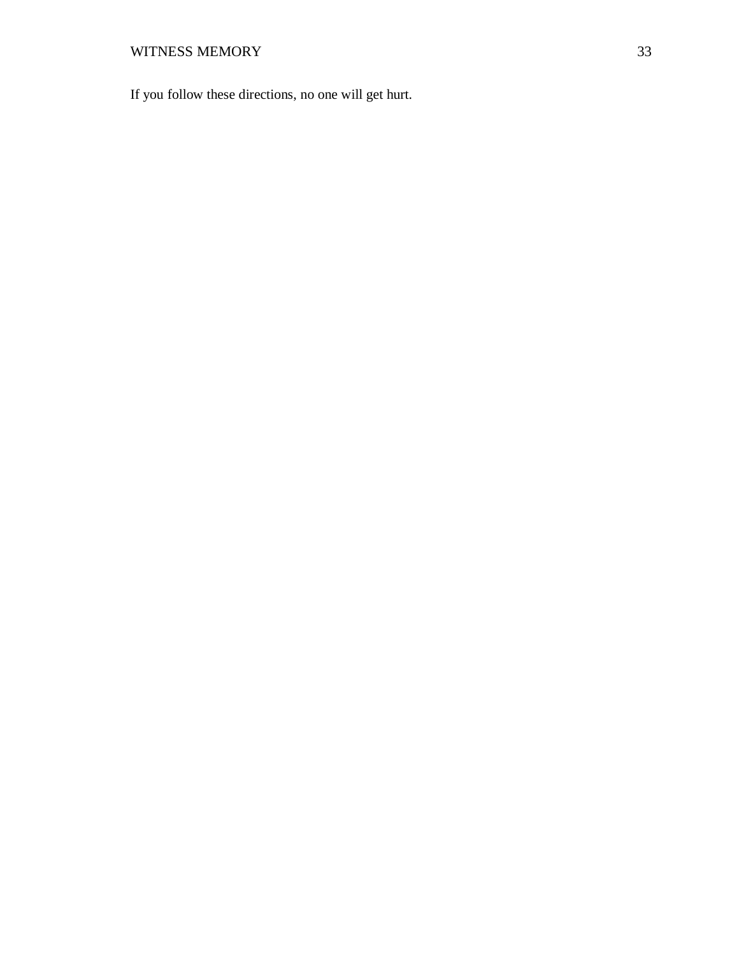# WITNESS MEMORY 33

If you follow these directions, no one will get hurt.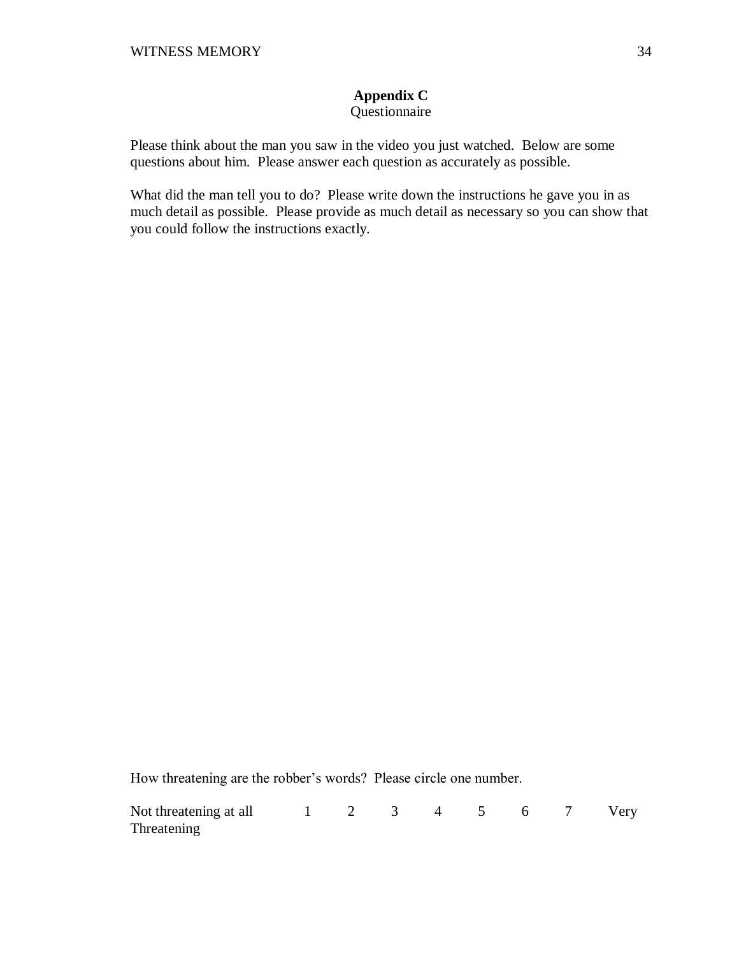### **Appendix C** Questionnaire

Please think about the man you saw in the video you just watched. Below are some questions about him. Please answer each question as accurately as possible.

What did the man tell you to do? Please write down the instructions he gave you in as much detail as possible. Please provide as much detail as necessary so you can show that you could follow the instructions exactly.

How threatening are the robber's words? Please circle one number.

| Not threatening at all |  |  |  | 1 2 3 4 5 6 7 Very |
|------------------------|--|--|--|--------------------|
| Threatening            |  |  |  |                    |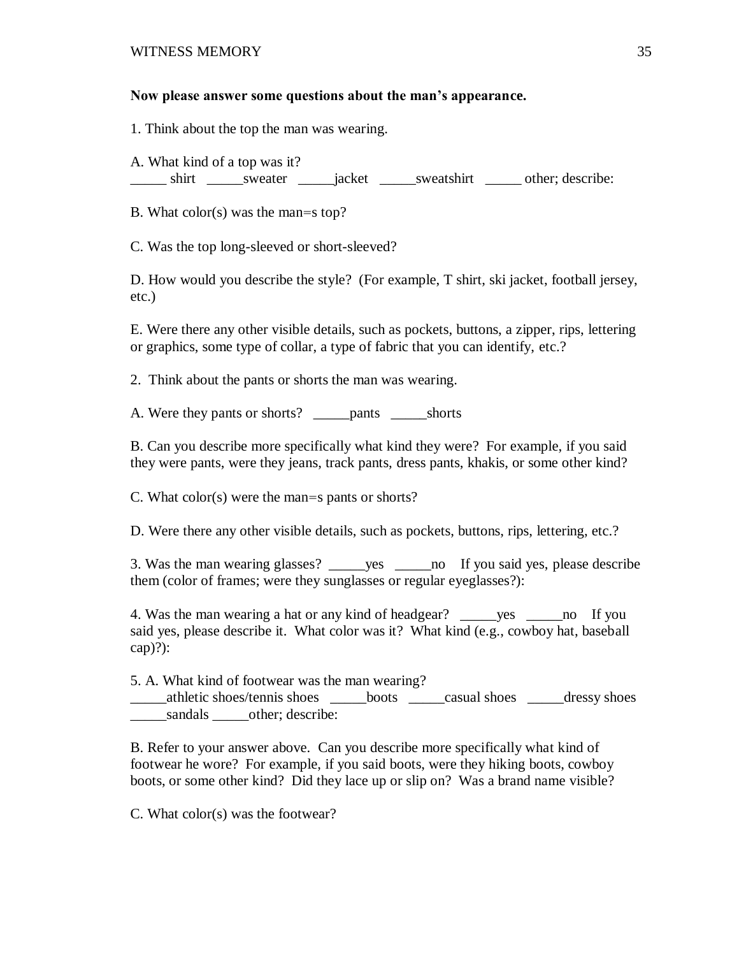## **Now please answer some questions about the man's appearance.**

1. Think about the top the man was wearing.

A. What kind of a top was it? \_\_\_\_\_ shirt \_\_\_\_\_sweater \_\_\_\_\_jacket \_\_\_\_\_sweatshirt \_\_\_\_\_ other; describe:

B. What color(s) was the man=s top?

C. Was the top long-sleeved or short-sleeved?

D. How would you describe the style? (For example, T shirt, ski jacket, football jersey, etc.)

E. Were there any other visible details, such as pockets, buttons, a zipper, rips, lettering or graphics, some type of collar, a type of fabric that you can identify, etc.?

2. Think about the pants or shorts the man was wearing.

A. Were they pants or shorts? \_\_\_\_\_pants \_\_\_\_\_\_\_shorts

B. Can you describe more specifically what kind they were? For example, if you said they were pants, were they jeans, track pants, dress pants, khakis, or some other kind?

C. What color(s) were the man=s pants or shorts?

D. Were there any other visible details, such as pockets, buttons, rips, lettering, etc.?

3. Was the man wearing glasses? \_\_\_\_\_yes \_\_\_\_\_no If you said yes, please describe them (color of frames; were they sunglasses or regular eyeglasses?):

4. Was the man wearing a hat or any kind of headgear? \_\_\_\_\_yes \_\_\_\_\_no If you said yes, please describe it. What color was it? What kind (e.g., cowboy hat, baseball  $cap)?$ :

5. A. What kind of footwear was the man wearing?

\_\_\_\_\_athletic shoes/tennis shoes \_\_\_\_\_boots \_\_\_\_\_casual shoes \_\_\_\_\_dressy shoes \_\_\_\_\_sandals \_\_\_\_\_other; describe:

B. Refer to your answer above. Can you describe more specifically what kind of footwear he wore? For example, if you said boots, were they hiking boots, cowboy boots, or some other kind? Did they lace up or slip on? Was a brand name visible?

C. What color(s) was the footwear?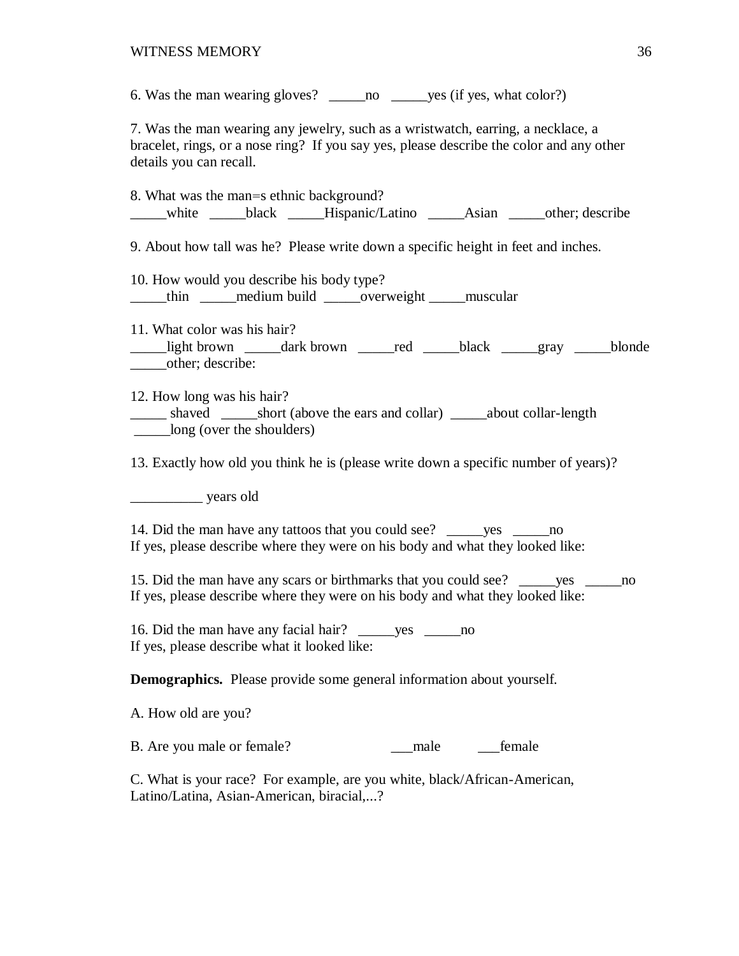#### WITNESS MEMORY 36

6. Was the man wearing gloves? \_\_\_\_\_no \_\_\_\_\_yes (if yes, what color?)

7. Was the man wearing any jewelry, such as a wristwatch, earring, a necklace, a bracelet, rings, or a nose ring? If you say yes, please describe the color and any other details you can recall.

8. What was the man=s ethnic background? \_\_\_\_\_white \_\_\_\_\_black \_\_\_\_\_Hispanic/Latino \_\_\_\_\_Asian \_\_\_\_\_other; describe 9. About how tall was he? Please write down a specific height in feet and inches. 10. How would you describe his body type? \_\_\_\_\_thin \_\_\_\_\_medium build \_\_\_\_\_overweight \_\_\_\_\_muscular 11. What color was his hair?  $\text{light brown}$  dark brown red black gray blonde \_\_\_\_\_\_other; describe:

12. How long was his hair? \_\_\_\_\_\_ shaved \_\_\_\_\_\_\_short (above the ears and collar) \_\_\_\_\_\_\_about collar-length \_\_\_\_\_long (over the shoulders)

13. Exactly how old you think he is (please write down a specific number of years)?

\_\_\_\_\_\_\_\_\_\_ years old

14. Did the man have any tattoos that you could see? \_\_\_\_\_yes \_\_\_\_\_no If yes, please describe where they were on his body and what they looked like:

15. Did the man have any scars or birthmarks that you could see? \_\_\_\_\_yes \_\_\_\_\_no If yes, please describe where they were on his body and what they looked like:

16. Did the man have any facial hair? \_\_\_\_\_yes \_\_\_\_\_no If yes, please describe what it looked like:

**Demographics.** Please provide some general information about yourself.

A. How old are you?

B. Are you male or female? \_\_\_male \_\_\_female

C. What is your race? For example, are you white, black/African-American, Latino/Latina, Asian-American, biracial,...?